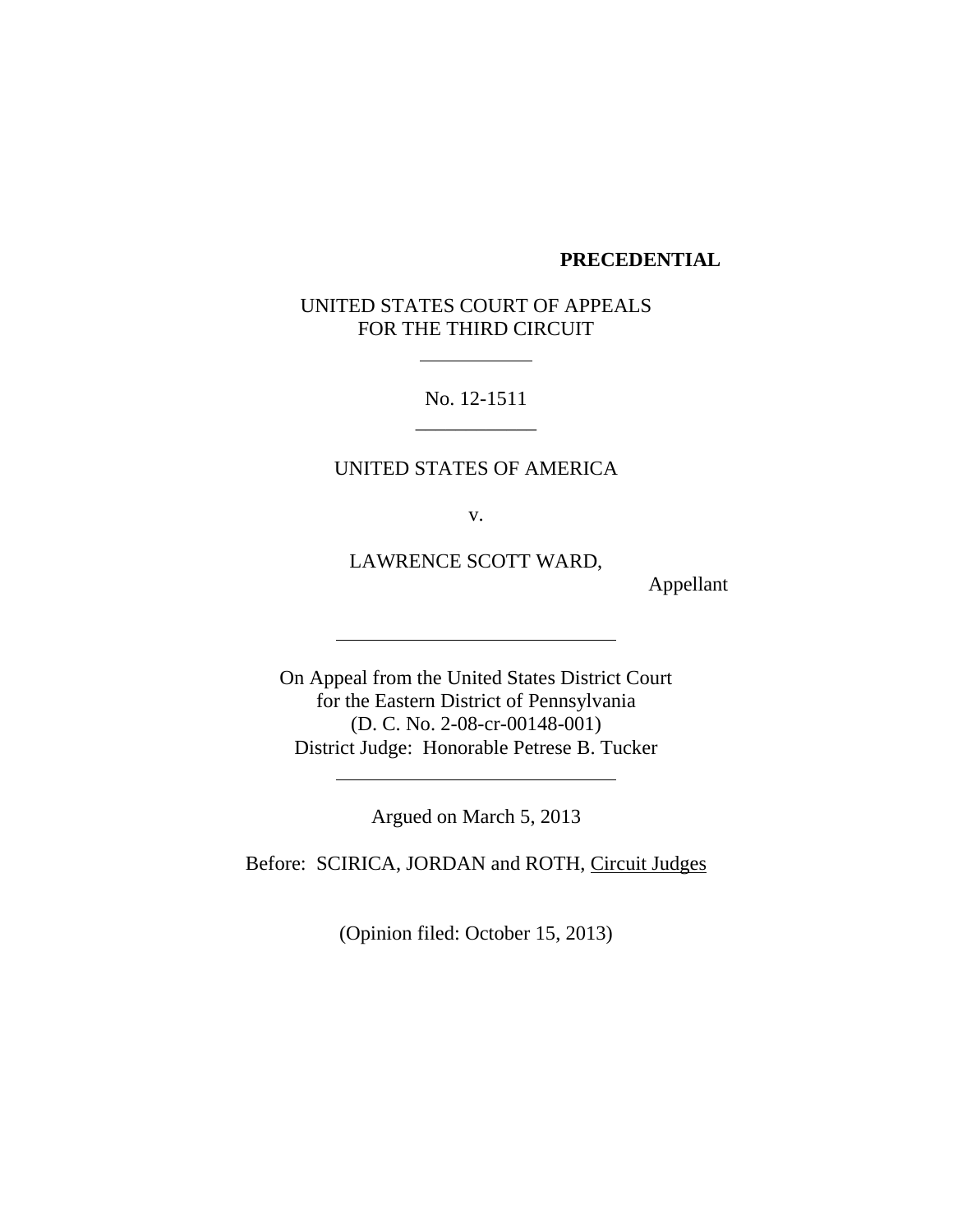#### **PRECEDENTIAL**

UNITED STATES COURT OF APPEALS FOR THE THIRD CIRCUIT

> No. 12-1511 \_\_\_\_\_\_\_\_\_\_\_\_

#### UNITED STATES OF AMERICA

v.

LAWRENCE SCOTT WARD,

Appellant

On Appeal from the United States District Court for the Eastern District of Pennsylvania (D. C. No. 2-08-cr-00148-001) District Judge: Honorable Petrese B. Tucker

Argued on March 5, 2013

Before: SCIRICA, JORDAN and ROTH, Circuit Judges

(Opinion filed: October 15, 2013)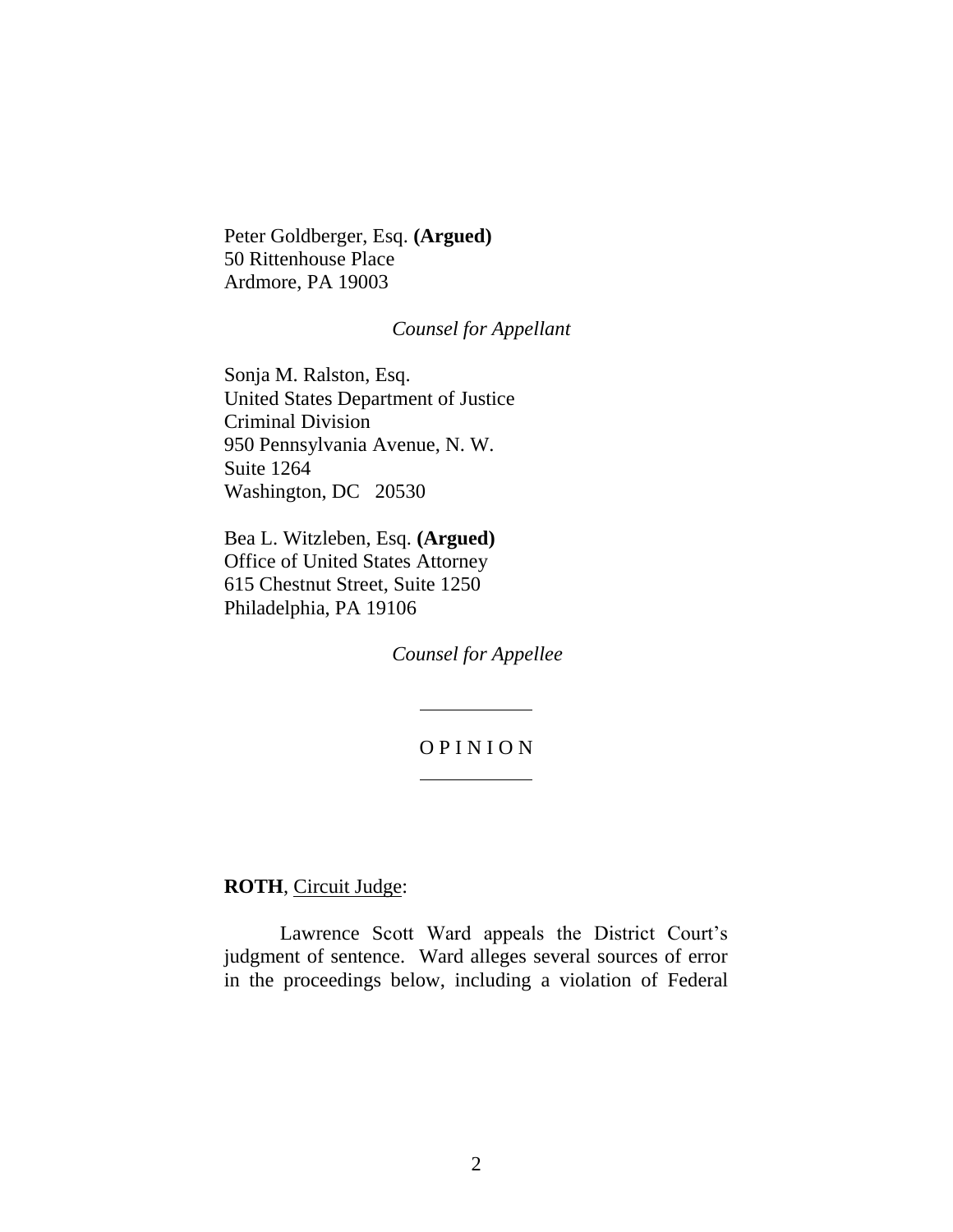Peter Goldberger, Esq. **(Argued)** 50 Rittenhouse Place Ardmore, PA 19003

### *Counsel for Appellant*

Sonja M. Ralston, Esq. United States Department of Justice Criminal Division 950 Pennsylvania Avenue, N. W. Suite 1264 Washington, DC 20530

Bea L. Witzleben, Esq. **(Argued)** Office of United States Attorney 615 Chestnut Street, Suite 1250 Philadelphia, PA 19106

*Counsel for Appellee*

# O P I N I O N

**ROTH**, Circuit Judge:

Lawrence Scott Ward appeals the District Court's judgment of sentence. Ward alleges several sources of error in the proceedings below, including a violation of Federal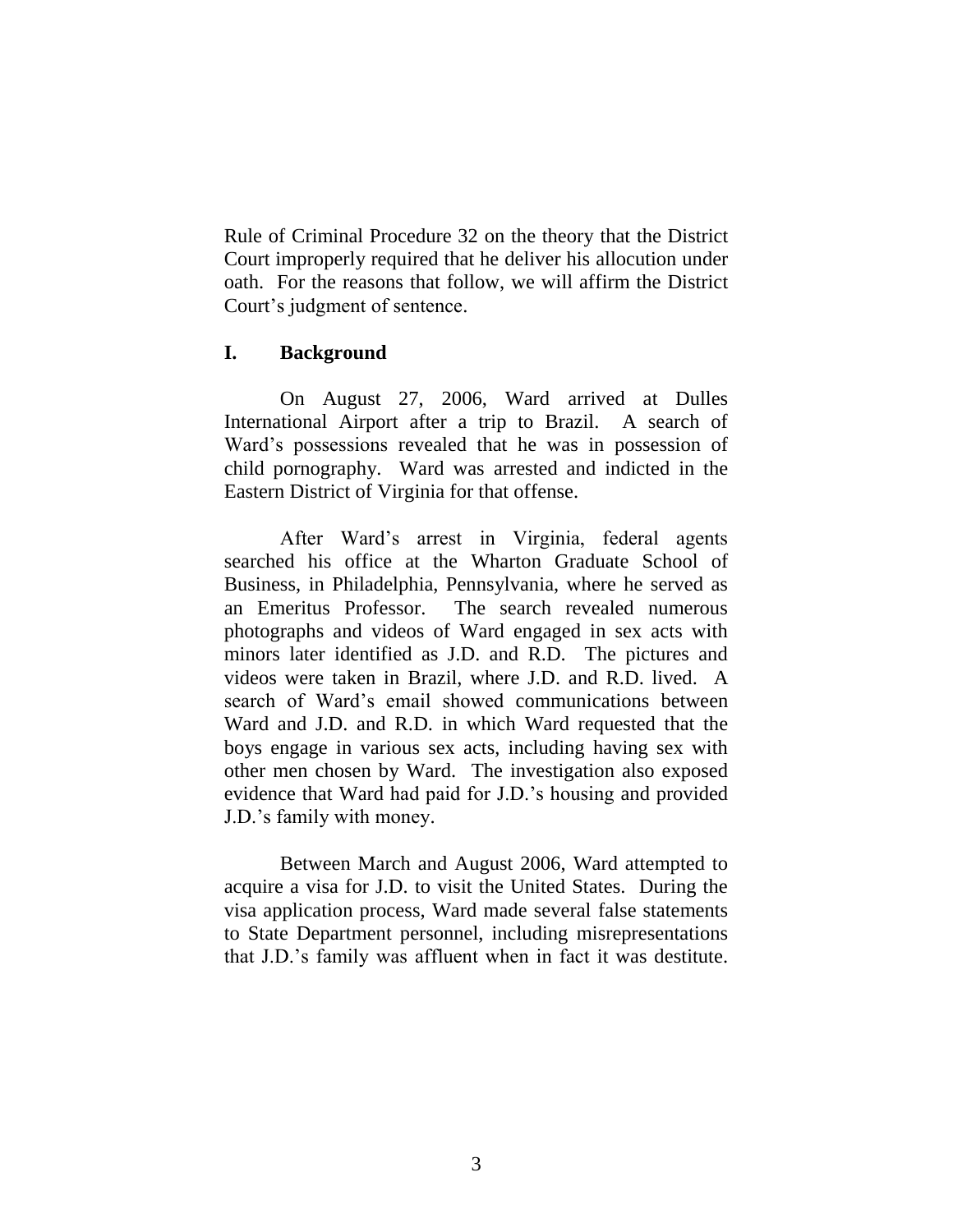Rule of Criminal Procedure 32 on the theory that the District Court improperly required that he deliver his allocution under oath. For the reasons that follow, we will affirm the District Court's judgment of sentence.

### **I. Background**

On August 27, 2006, Ward arrived at Dulles International Airport after a trip to Brazil. A search of Ward's possessions revealed that he was in possession of child pornography. Ward was arrested and indicted in the Eastern District of Virginia for that offense.

After Ward's arrest in Virginia, federal agents searched his office at the Wharton Graduate School of Business, in Philadelphia, Pennsylvania, where he served as an Emeritus Professor. The search revealed numerous photographs and videos of Ward engaged in sex acts with minors later identified as J.D. and R.D. The pictures and videos were taken in Brazil, where J.D. and R.D. lived. A search of Ward's email showed communications between Ward and J.D. and R.D. in which Ward requested that the boys engage in various sex acts, including having sex with other men chosen by Ward. The investigation also exposed evidence that Ward had paid for J.D.'s housing and provided J.D.'s family with money.

Between March and August 2006, Ward attempted to acquire a visa for J.D. to visit the United States. During the visa application process, Ward made several false statements to State Department personnel, including misrepresentations that J.D.'s family was affluent when in fact it was destitute.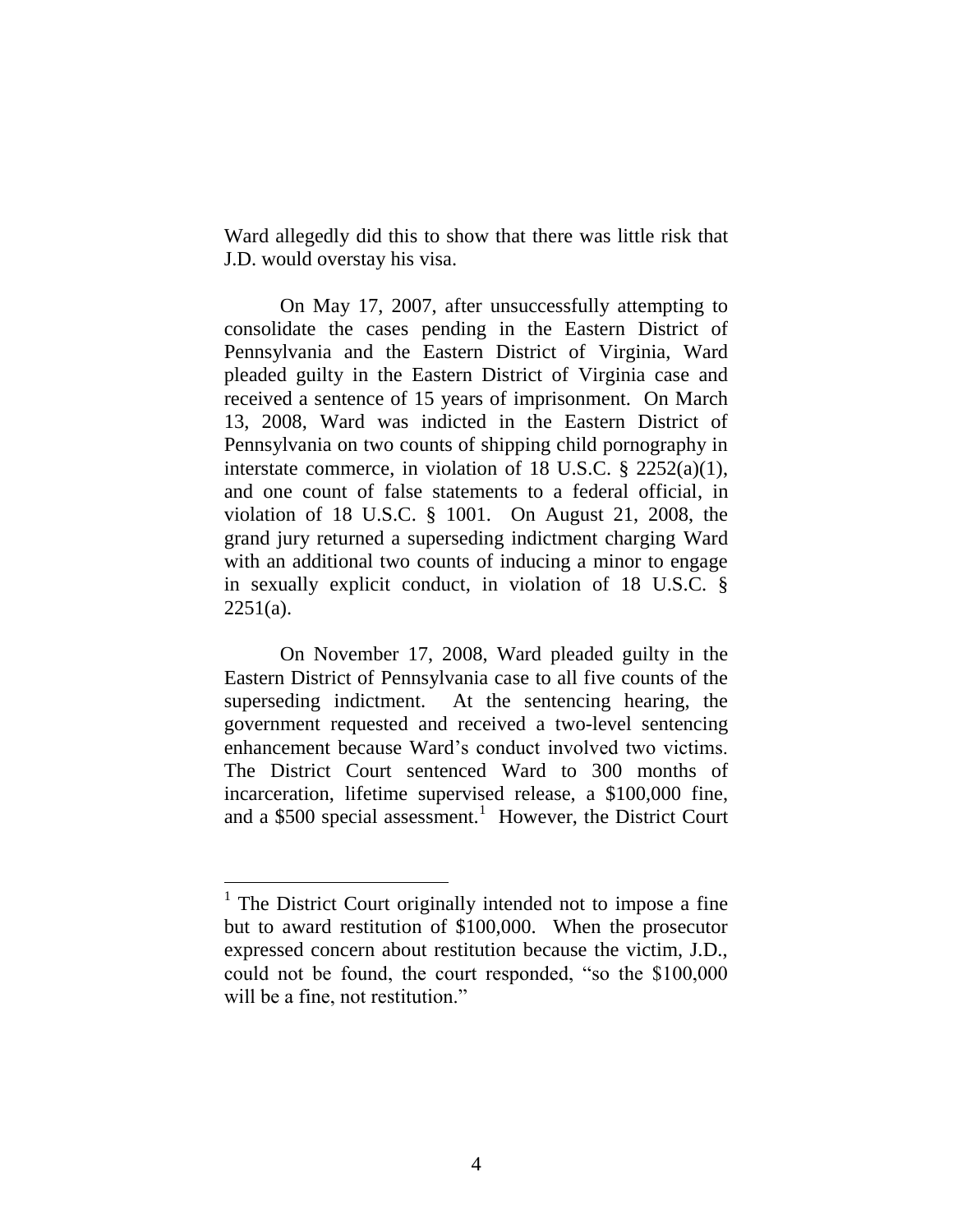Ward allegedly did this to show that there was little risk that J.D. would overstay his visa.

On May 17, 2007, after unsuccessfully attempting to consolidate the cases pending in the Eastern District of Pennsylvania and the Eastern District of Virginia, Ward pleaded guilty in the Eastern District of Virginia case and received a sentence of 15 years of imprisonment. On March 13, 2008, Ward was indicted in the Eastern District of Pennsylvania on two counts of shipping child pornography in interstate commerce, in violation of 18 U.S.C. § 2252(a)(1), and one count of false statements to a federal official, in violation of 18 U.S.C. § 1001. On August 21, 2008, the grand jury returned a superseding indictment charging Ward with an additional two counts of inducing a minor to engage in sexually explicit conduct, in violation of 18 U.S.C. §  $2251(a)$ .

On November 17, 2008, Ward pleaded guilty in the Eastern District of Pennsylvania case to all five counts of the superseding indictment. At the sentencing hearing, the government requested and received a two-level sentencing enhancement because Ward's conduct involved two victims. The District Court sentenced Ward to 300 months of incarceration, lifetime supervised release, a \$100,000 fine, and a \$500 special assessment.<sup>1</sup> However, the District Court

<sup>&</sup>lt;sup>1</sup> The District Court originally intended not to impose a fine but to award restitution of \$100,000. When the prosecutor expressed concern about restitution because the victim, J.D., could not be found, the court responded, "so the \$100,000 will be a fine, not restitution."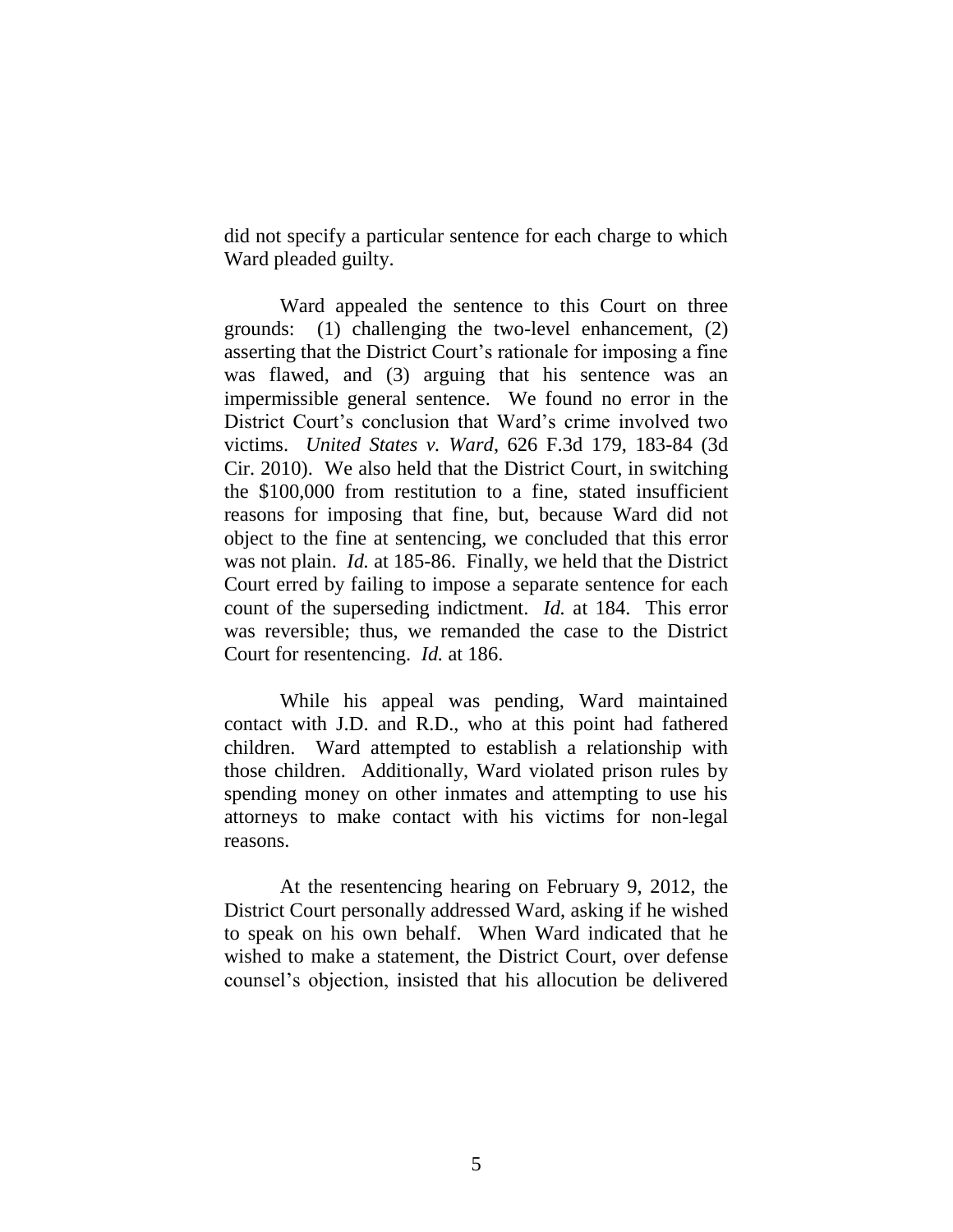did not specify a particular sentence for each charge to which Ward pleaded guilty.

Ward appealed the sentence to this Court on three grounds: (1) challenging the two-level enhancement, (2) asserting that the District Court's rationale for imposing a fine was flawed, and (3) arguing that his sentence was an impermissible general sentence. We found no error in the District Court's conclusion that Ward's crime involved two victims. *United States v. Ward*, 626 F.3d 179, 183-84 (3d Cir. 2010). We also held that the District Court, in switching the \$100,000 from restitution to a fine, stated insufficient reasons for imposing that fine, but, because Ward did not object to the fine at sentencing, we concluded that this error was not plain. *Id.* at 185-86. Finally, we held that the District Court erred by failing to impose a separate sentence for each count of the superseding indictment. *Id.* at 184. This error was reversible; thus, we remanded the case to the District Court for resentencing. *Id.* at 186.

While his appeal was pending, Ward maintained contact with J.D. and R.D., who at this point had fathered children. Ward attempted to establish a relationship with those children. Additionally, Ward violated prison rules by spending money on other inmates and attempting to use his attorneys to make contact with his victims for non-legal reasons.

At the resentencing hearing on February 9, 2012, the District Court personally addressed Ward, asking if he wished to speak on his own behalf. When Ward indicated that he wished to make a statement, the District Court, over defense counsel's objection, insisted that his allocution be delivered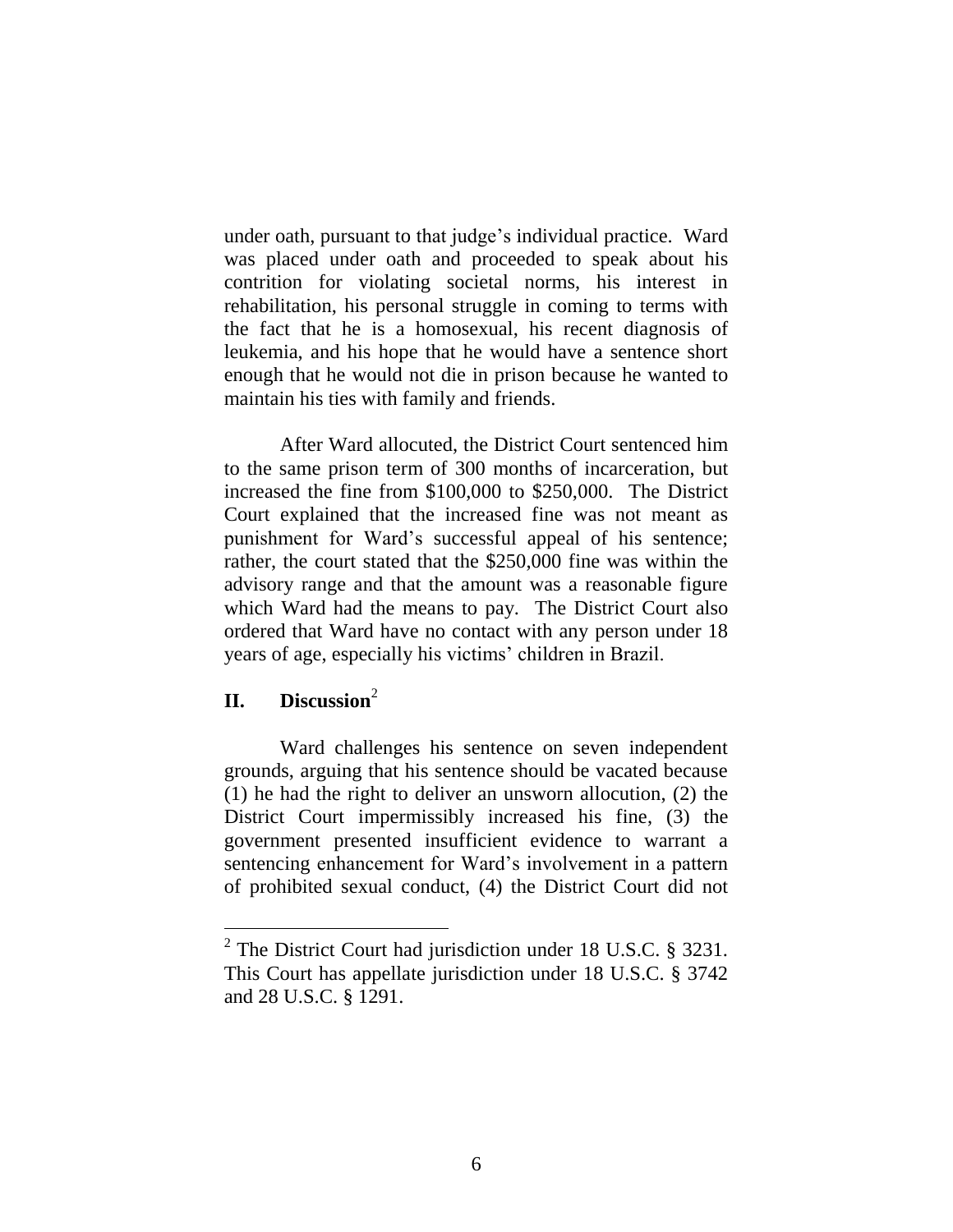under oath, pursuant to that judge's individual practice. Ward was placed under oath and proceeded to speak about his contrition for violating societal norms, his interest in rehabilitation, his personal struggle in coming to terms with the fact that he is a homosexual, his recent diagnosis of leukemia, and his hope that he would have a sentence short enough that he would not die in prison because he wanted to maintain his ties with family and friends.

After Ward allocuted, the District Court sentenced him to the same prison term of 300 months of incarceration, but increased the fine from \$100,000 to \$250,000. The District Court explained that the increased fine was not meant as punishment for Ward's successful appeal of his sentence; rather, the court stated that the \$250,000 fine was within the advisory range and that the amount was a reasonable figure which Ward had the means to pay. The District Court also ordered that Ward have no contact with any person under 18 years of age, especially his victims' children in Brazil.

# **II. Discussion**<sup>2</sup>

Ward challenges his sentence on seven independent grounds, arguing that his sentence should be vacated because (1) he had the right to deliver an unsworn allocution, (2) the District Court impermissibly increased his fine, (3) the government presented insufficient evidence to warrant a sentencing enhancement for Ward's involvement in a pattern of prohibited sexual conduct, (4) the District Court did not

<sup>&</sup>lt;sup>2</sup> The District Court had jurisdiction under 18 U.S.C.  $\S$  3231. This Court has appellate jurisdiction under 18 U.S.C. § 3742 and 28 U.S.C. § 1291.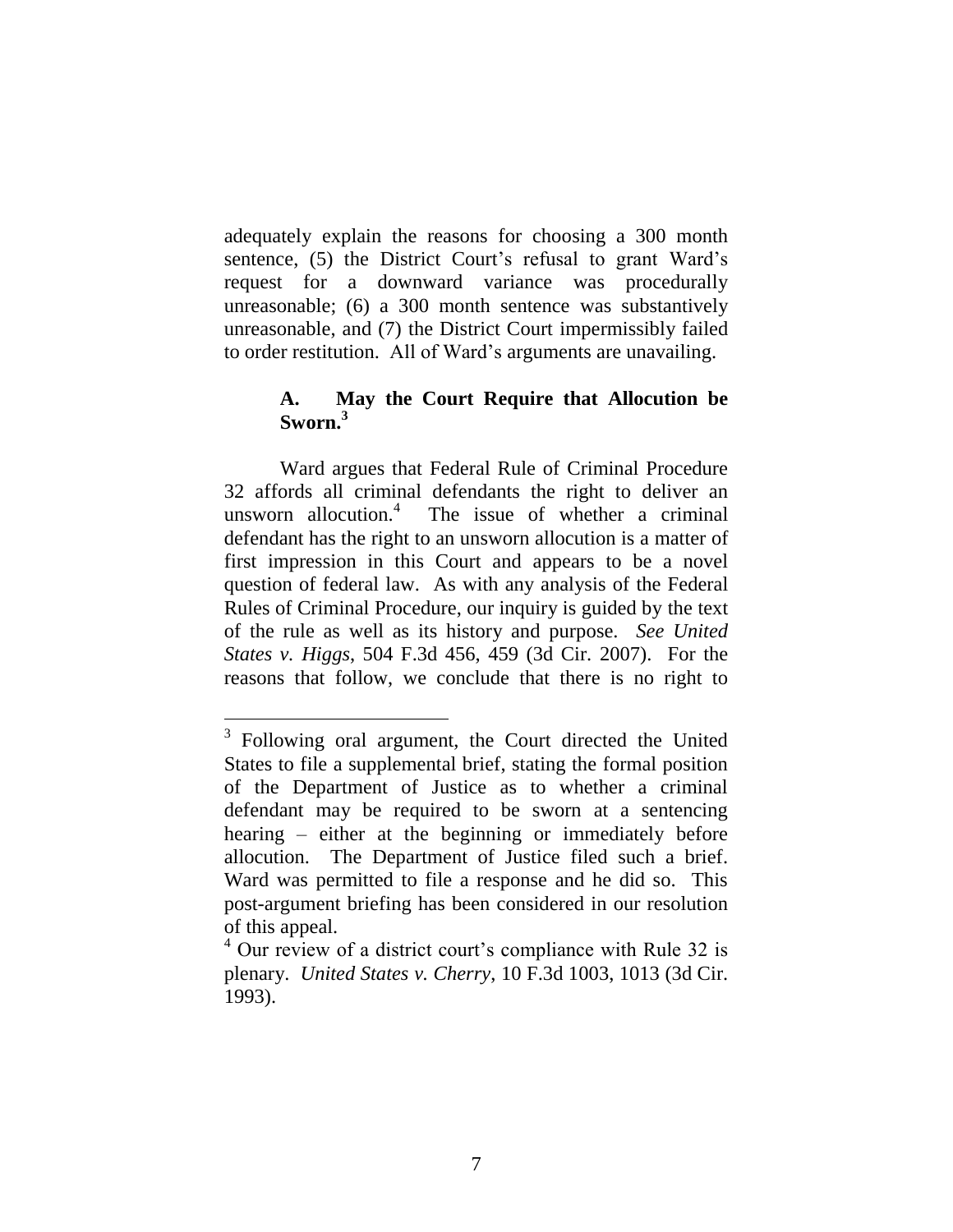adequately explain the reasons for choosing a 300 month sentence, (5) the District Court's refusal to grant Ward's request for a downward variance was procedurally unreasonable; (6) a 300 month sentence was substantively unreasonable, and (7) the District Court impermissibly failed to order restitution. All of Ward's arguments are unavailing.

## **A. May the Court Require that Allocution be Sworn. 3**

Ward argues that Federal Rule of Criminal Procedure 32 affords all criminal defendants the right to deliver an unsworn allocution.<sup>4</sup> The issue of whether a criminal defendant has the right to an unsworn allocution is a matter of first impression in this Court and appears to be a novel question of federal law. As with any analysis of the Federal Rules of Criminal Procedure, our inquiry is guided by the text of the rule as well as its history and purpose. *See United States v. Higgs*, 504 F.3d 456, 459 (3d Cir. 2007). For the reasons that follow, we conclude that there is no right to

<sup>&</sup>lt;sup>3</sup> Following oral argument, the Court directed the United States to file a supplemental brief, stating the formal position of the Department of Justice as to whether a criminal defendant may be required to be sworn at a sentencing hearing – either at the beginning or immediately before allocution. The Department of Justice filed such a brief. Ward was permitted to file a response and he did so. This post-argument briefing has been considered in our resolution of this appeal.

<sup>&</sup>lt;sup>4</sup> Our review of a district court's compliance with Rule 32 is plenary. *United States v. Cherry*, 10 F.3d 1003, 1013 (3d Cir. 1993).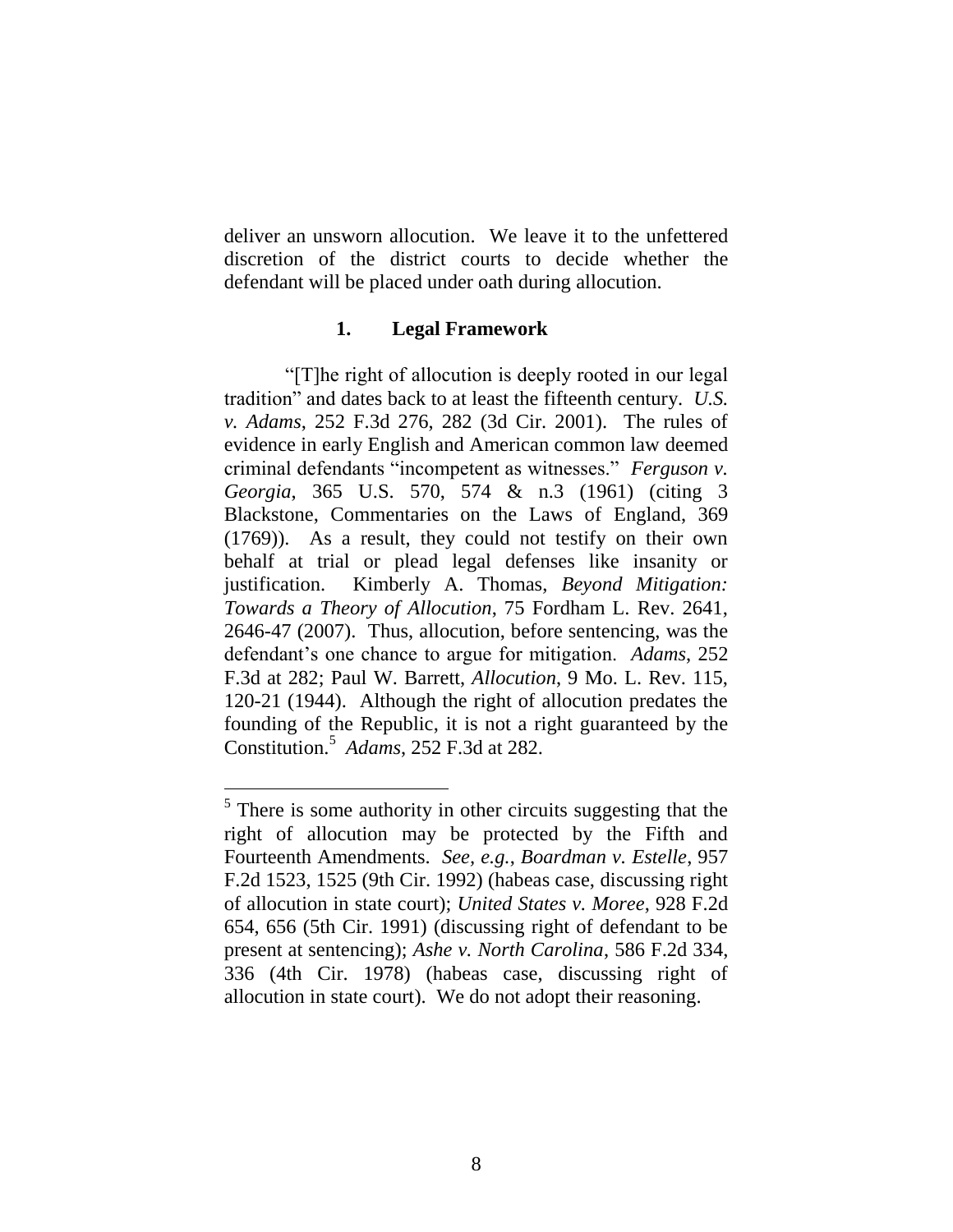deliver an unsworn allocution. We leave it to the unfettered discretion of the district courts to decide whether the defendant will be placed under oath during allocution.

#### **1. Legal Framework**

"[T]he right of allocution is deeply rooted in our legal tradition" and dates back to at least the fifteenth century. *U.S. v. Adams*, 252 F.3d 276, 282 (3d Cir. 2001). The rules of evidence in early English and American common law deemed criminal defendants "incompetent as witnesses." *Ferguson v. Georgia*, 365 U.S. 570, 574 & n.3 (1961) (citing 3 Blackstone, Commentaries on the Laws of England, 369 (1769)). As a result, they could not testify on their own behalf at trial or plead legal defenses like insanity or justification. Kimberly A. Thomas, *Beyond Mitigation: Towards a Theory of Allocution*, 75 Fordham L. Rev. 2641, 2646-47 (2007). Thus, allocution, before sentencing, was the defendant's one chance to argue for mitigation. *Adams*, 252 F.3d at 282; Paul W. Barrett, *Allocution*, 9 Mo. L. Rev. 115, 120-21 (1944). Although the right of allocution predates the founding of the Republic, it is not a right guaranteed by the Constitution.<sup>5</sup> *Adams*, 252 F.3d at 282.

 $\overline{a}$ 

 $<sup>5</sup>$  There is some authority in other circuits suggesting that the</sup> right of allocution may be protected by the Fifth and Fourteenth Amendments. *See, e.g.*, *Boardman v. Estelle*, 957 F.2d 1523, 1525 (9th Cir. 1992) (habeas case, discussing right of allocution in state court); *United States v. Moree*, 928 F.2d 654, 656 (5th Cir. 1991) (discussing right of defendant to be present at sentencing); *Ashe v. North Carolina*, 586 F.2d 334, 336 (4th Cir. 1978) (habeas case, discussing right of allocution in state court). We do not adopt their reasoning.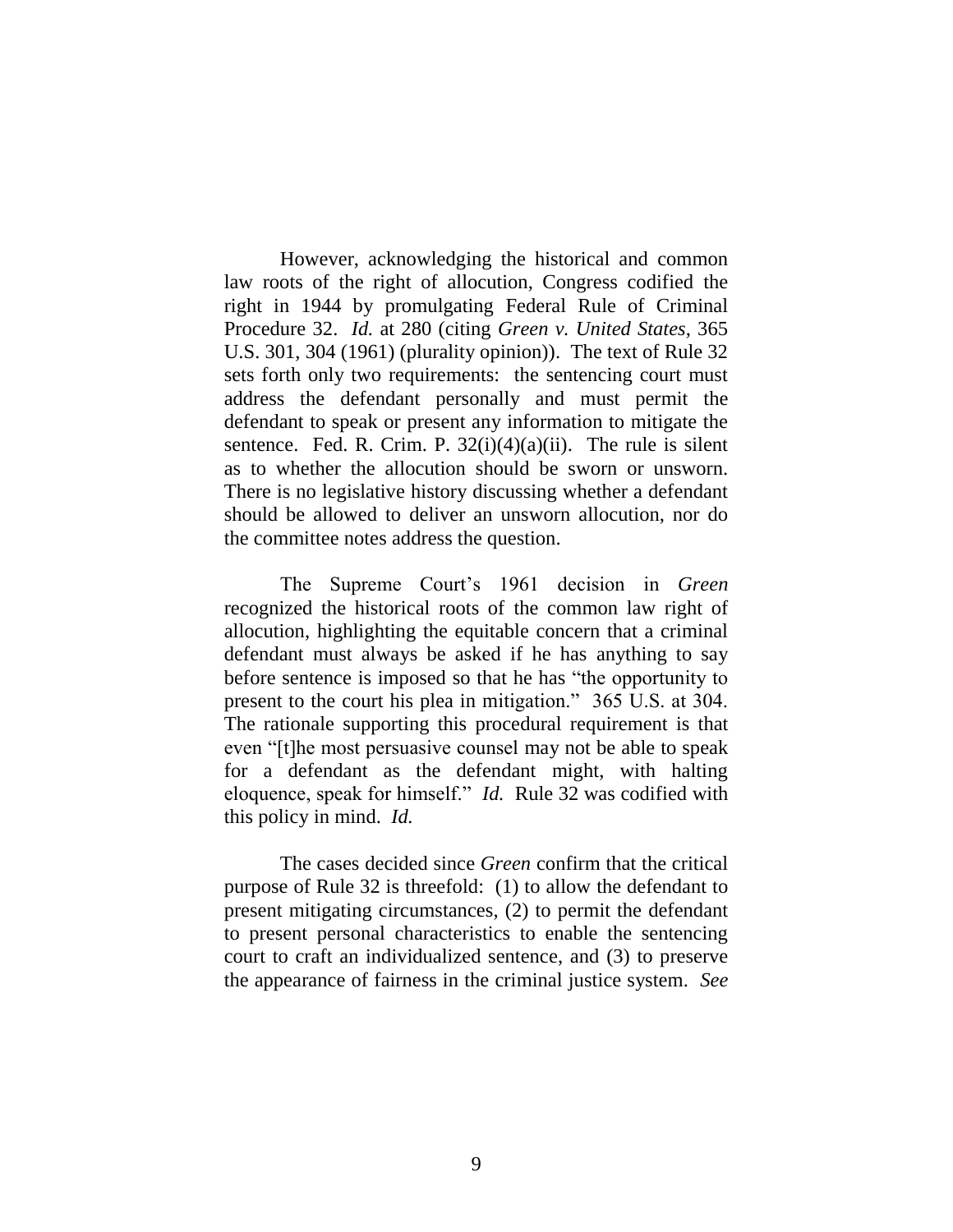However, acknowledging the historical and common law roots of the right of allocution, Congress codified the right in 1944 by promulgating Federal Rule of Criminal Procedure 32. *Id.* at 280 (citing *Green v. United States*, 365 U.S. 301, 304 (1961) (plurality opinion)). The text of Rule 32 sets forth only two requirements: the sentencing court must address the defendant personally and must permit the defendant to speak or present any information to mitigate the sentence. Fed. R. Crim. P.  $32(i)(4)(a)(ii)$ . The rule is silent as to whether the allocution should be sworn or unsworn. There is no legislative history discussing whether a defendant should be allowed to deliver an unsworn allocution, nor do the committee notes address the question.

The Supreme Court's 1961 decision in *Green* recognized the historical roots of the common law right of allocution, highlighting the equitable concern that a criminal defendant must always be asked if he has anything to say before sentence is imposed so that he has "the opportunity to present to the court his plea in mitigation." 365 U.S. at 304. The rationale supporting this procedural requirement is that even "[t]he most persuasive counsel may not be able to speak for a defendant as the defendant might, with halting eloquence, speak for himself." *Id.* Rule 32 was codified with this policy in mind. *Id.*

The cases decided since *Green* confirm that the critical purpose of Rule 32 is threefold: (1) to allow the defendant to present mitigating circumstances, (2) to permit the defendant to present personal characteristics to enable the sentencing court to craft an individualized sentence, and (3) to preserve the appearance of fairness in the criminal justice system. *See*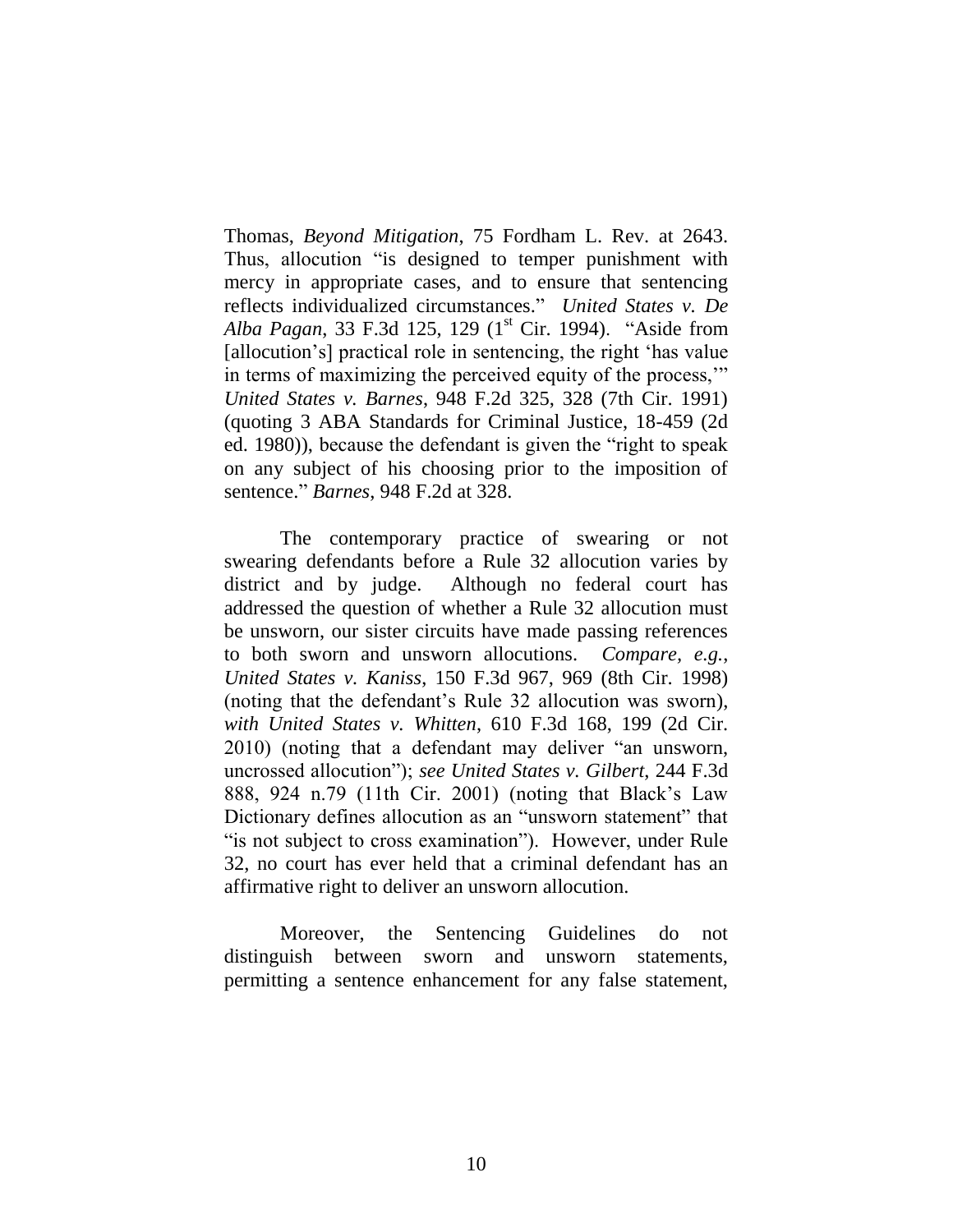Thomas, *Beyond Mitigation*, 75 Fordham L. Rev. at 2643. Thus, allocution "is designed to temper punishment with mercy in appropriate cases, and to ensure that sentencing reflects individualized circumstances." *United States v. De*  Alba Pagan, 33 F.3d 125, 129 (1<sup>st</sup> Cir. 1994). "Aside from [allocution's] practical role in sentencing, the right 'has value in terms of maximizing the perceived equity of the process,'" *United States v. Barnes*, 948 F.2d 325, 328 (7th Cir. 1991) (quoting 3 ABA Standards for Criminal Justice, 18-459 (2d ed. 1980)), because the defendant is given the "right to speak on any subject of his choosing prior to the imposition of sentence." *Barnes*, 948 F.2d at 328.

The contemporary practice of swearing or not swearing defendants before a Rule 32 allocution varies by district and by judge. Although no federal court has addressed the question of whether a Rule 32 allocution must be unsworn, our sister circuits have made passing references to both sworn and unsworn allocutions. *Compare, e.g.*, *United States v. Kaniss*, 150 F.3d 967, 969 (8th Cir. 1998) (noting that the defendant's Rule 32 allocution was sworn), *with United States v. Whitten*, 610 F.3d 168, 199 (2d Cir. 2010) (noting that a defendant may deliver "an unsworn, uncrossed allocution"); *see United States v. Gilbert*, 244 F.3d 888, 924 n.79 (11th Cir. 2001) (noting that Black's Law Dictionary defines allocution as an "unsworn statement" that "is not subject to cross examination"). However, under Rule 32, no court has ever held that a criminal defendant has an affirmative right to deliver an unsworn allocution.

Moreover, the Sentencing Guidelines do not distinguish between sworn and unsworn statements, permitting a sentence enhancement for any false statement,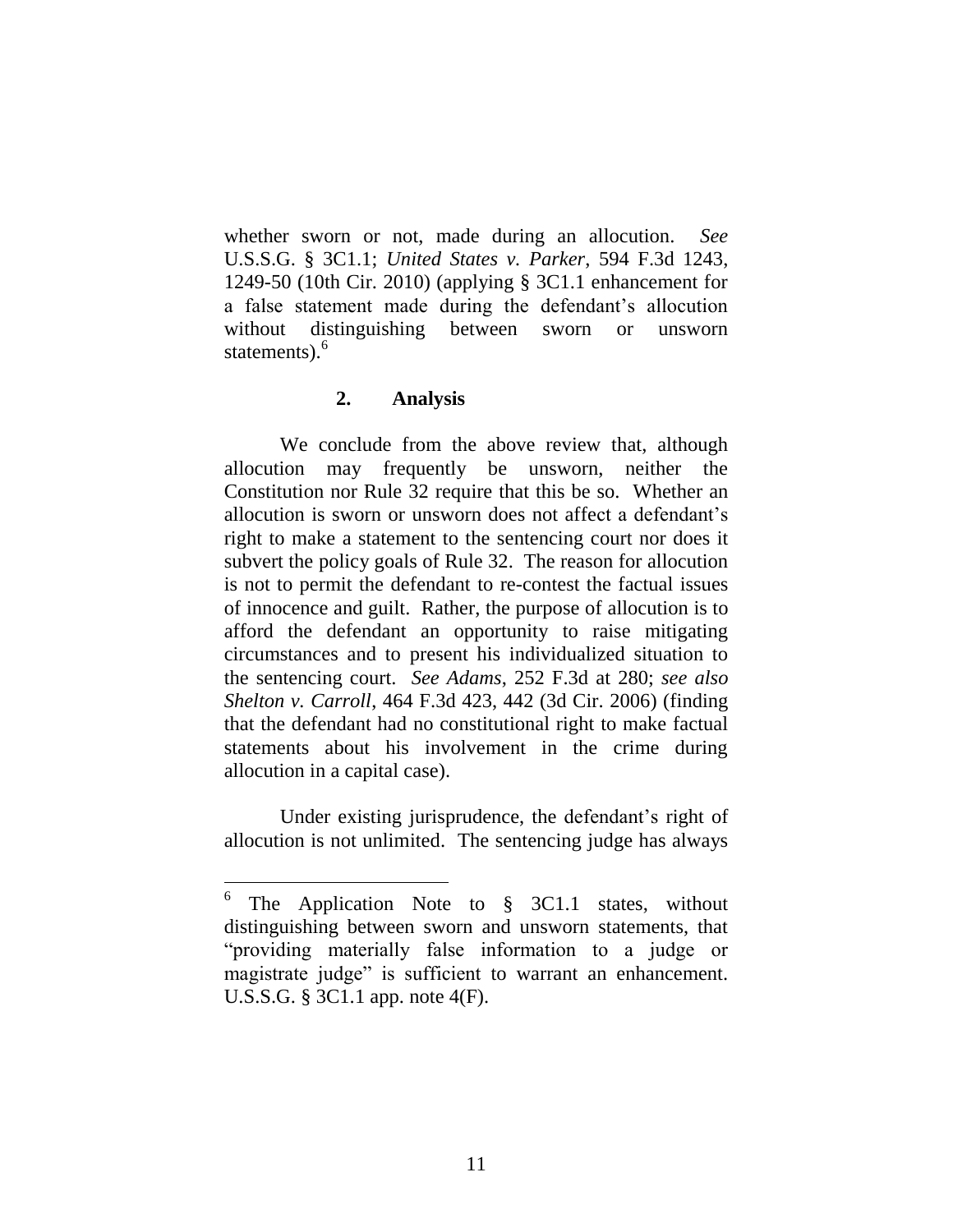whether sworn or not, made during an allocution. *See*  U.S.S.G. § 3C1.1; *United States v. Parker*, 594 F.3d 1243, 1249-50 (10th Cir. 2010) (applying § 3C1.1 enhancement for a false statement made during the defendant's allocution without distinguishing between sworn or unsworn statements).<sup>6</sup>

#### **2. Analysis**

We conclude from the above review that, although allocution may frequently be unsworn, neither the Constitution nor Rule 32 require that this be so. Whether an allocution is sworn or unsworn does not affect a defendant's right to make a statement to the sentencing court nor does it subvert the policy goals of Rule 32. The reason for allocution is not to permit the defendant to re-contest the factual issues of innocence and guilt. Rather, the purpose of allocution is to afford the defendant an opportunity to raise mitigating circumstances and to present his individualized situation to the sentencing court. *See Adams*, 252 F.3d at 280; *see also Shelton v. Carroll*, 464 F.3d 423, 442 (3d Cir. 2006) (finding that the defendant had no constitutional right to make factual statements about his involvement in the crime during allocution in a capital case).

Under existing jurisprudence, the defendant's right of allocution is not unlimited. The sentencing judge has always

<sup>6</sup> The Application Note to § 3C1.1 states, without distinguishing between sworn and unsworn statements, that "providing materially false information to a judge or magistrate judge" is sufficient to warrant an enhancement. U.S.S.G. § 3C1.1 app. note 4(F).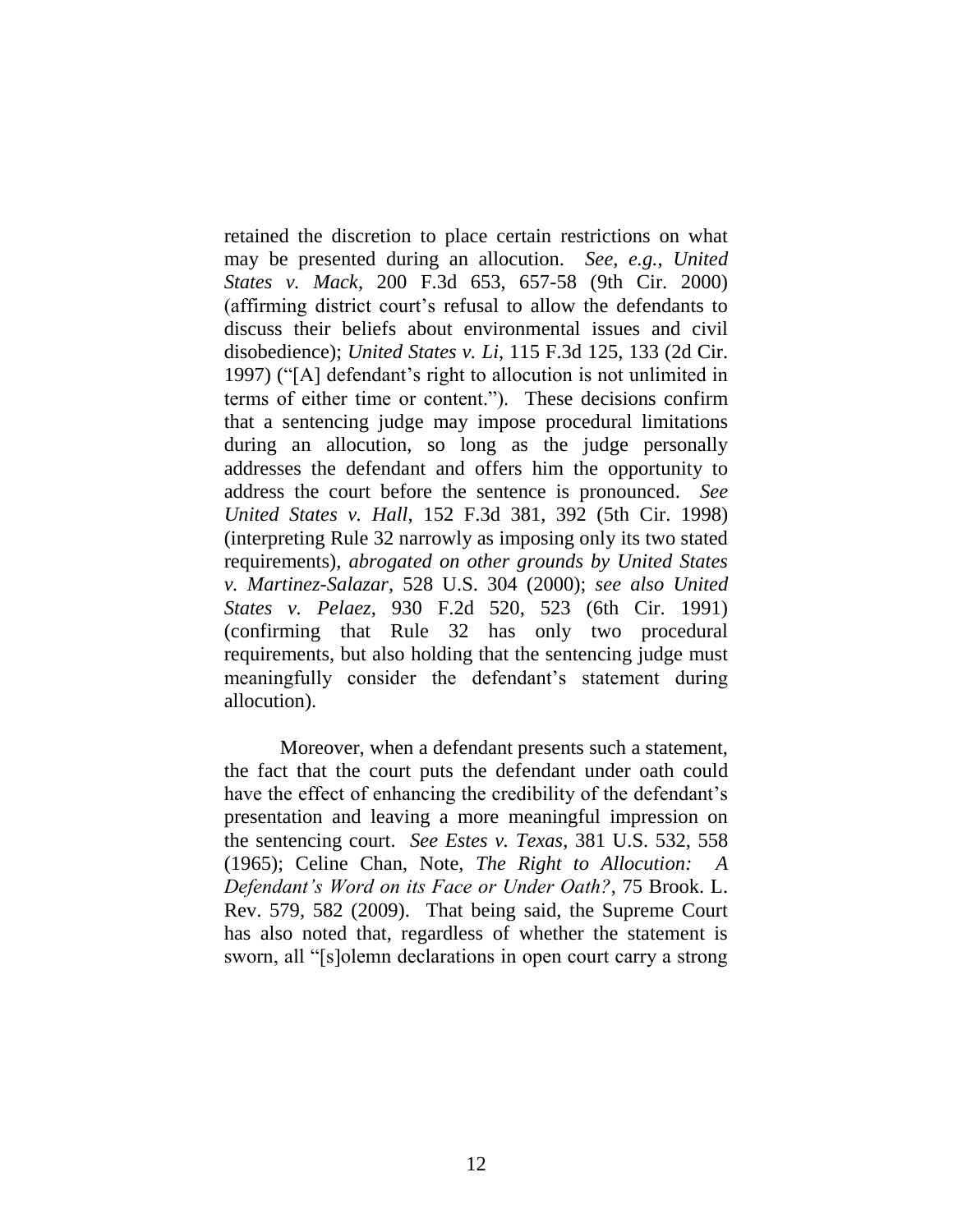retained the discretion to place certain restrictions on what may be presented during an allocution. *See, e.g.*, *United States v. Mack*, 200 F.3d 653, 657-58 (9th Cir. 2000) (affirming district court's refusal to allow the defendants to discuss their beliefs about environmental issues and civil disobedience); *United States v. Li*, 115 F.3d 125, 133 (2d Cir. 1997) ("[A] defendant's right to allocution is not unlimited in terms of either time or content."). These decisions confirm that a sentencing judge may impose procedural limitations during an allocution, so long as the judge personally addresses the defendant and offers him the opportunity to address the court before the sentence is pronounced. *See United States v. Hall*, 152 F.3d 381, 392 (5th Cir. 1998) (interpreting Rule 32 narrowly as imposing only its two stated requirements), *abrogated on other grounds by United States v. Martinez-Salazar*, 528 U.S. 304 (2000); *see also United States v. Pelaez*, 930 F.2d 520, 523 (6th Cir. 1991) (confirming that Rule 32 has only two procedural requirements, but also holding that the sentencing judge must meaningfully consider the defendant's statement during allocution).

Moreover, when a defendant presents such a statement, the fact that the court puts the defendant under oath could have the effect of enhancing the credibility of the defendant's presentation and leaving a more meaningful impression on the sentencing court. *See Estes v. Texas*, 381 U.S. 532, 558 (1965); Celine Chan, Note, *The Right to Allocution: A Defendant's Word on its Face or Under Oath?*, 75 Brook. L. Rev. 579, 582 (2009). That being said, the Supreme Court has also noted that, regardless of whether the statement is sworn, all "[s]olemn declarations in open court carry a strong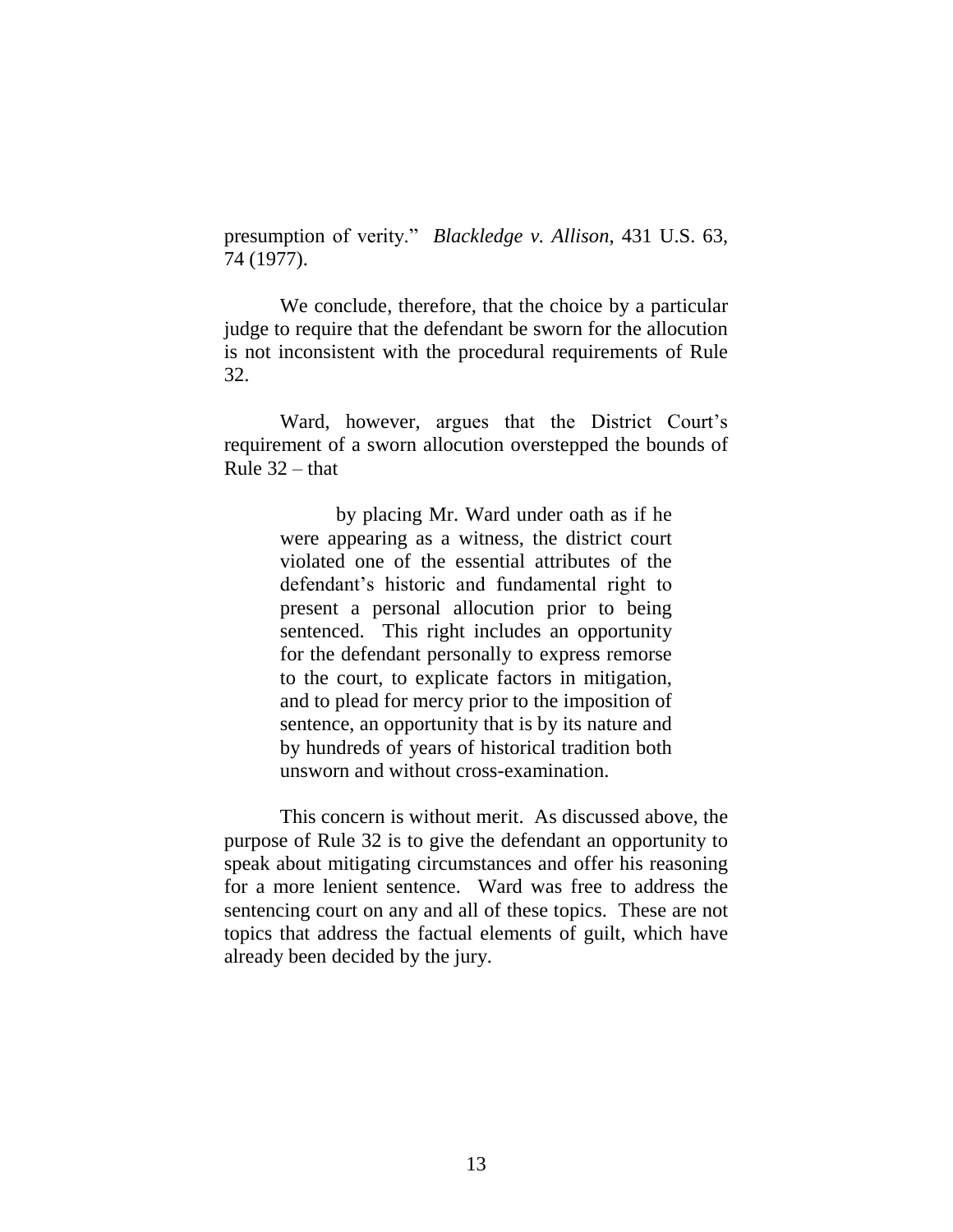presumption of verity." *Blackledge v. Allison*, 431 U.S. 63, 74 (1977).

We conclude, therefore, that the choice by a particular judge to require that the defendant be sworn for the allocution is not inconsistent with the procedural requirements of Rule 32.

Ward, however, argues that the District Court's requirement of a sworn allocution overstepped the bounds of Rule  $32$  – that

> by placing Mr. Ward under oath as if he were appearing as a witness, the district court violated one of the essential attributes of the defendant's historic and fundamental right to present a personal allocution prior to being sentenced. This right includes an opportunity for the defendant personally to express remorse to the court, to explicate factors in mitigation, and to plead for mercy prior to the imposition of sentence, an opportunity that is by its nature and by hundreds of years of historical tradition both unsworn and without cross-examination.

This concern is without merit. As discussed above, the purpose of Rule 32 is to give the defendant an opportunity to speak about mitigating circumstances and offer his reasoning for a more lenient sentence. Ward was free to address the sentencing court on any and all of these topics. These are not topics that address the factual elements of guilt, which have already been decided by the jury.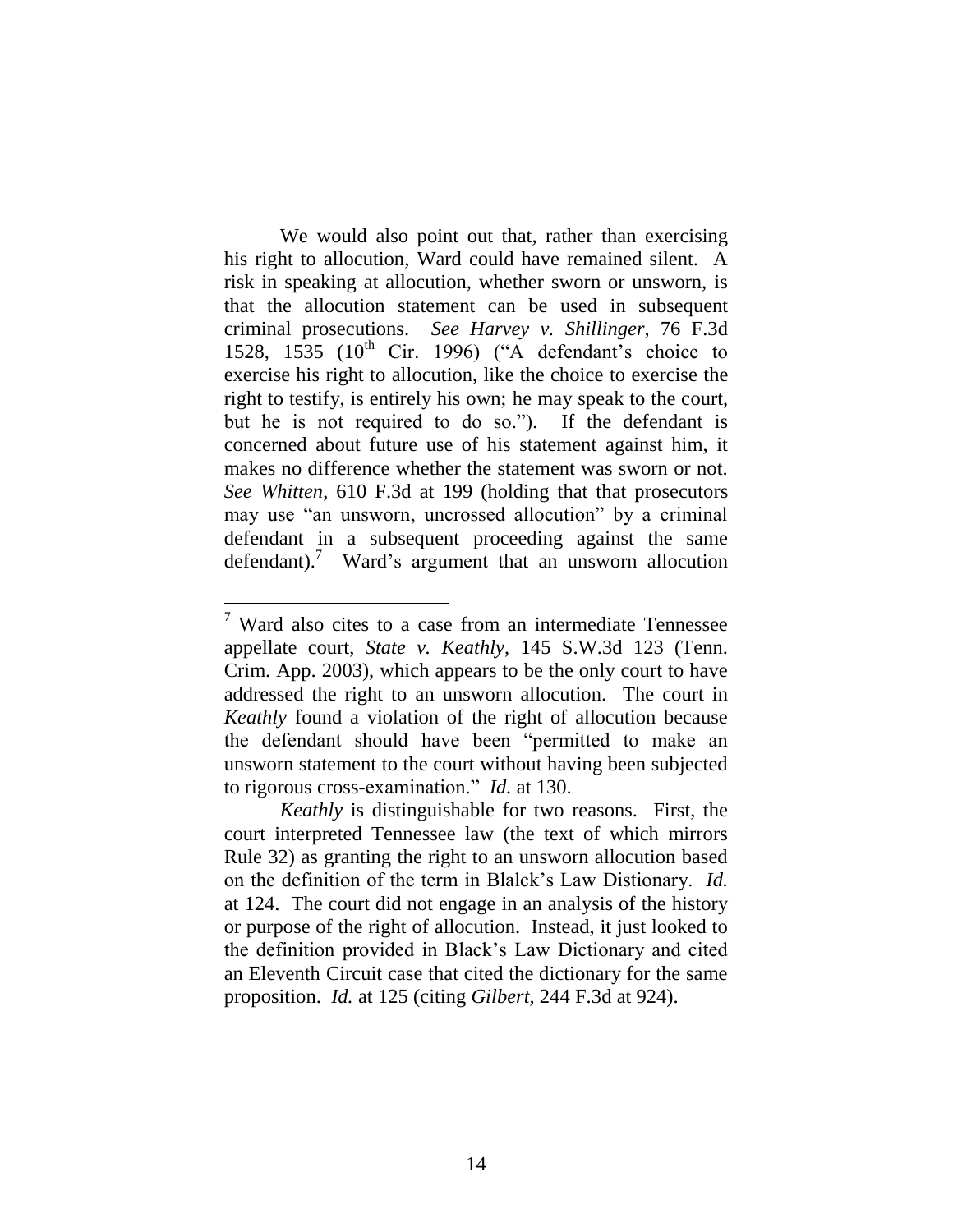We would also point out that, rather than exercising his right to allocution, Ward could have remained silent. A risk in speaking at allocution, whether sworn or unsworn, is that the allocution statement can be used in subsequent criminal prosecutions. *See Harvey v. Shillinger*, 76 F.3d 1528, 1535 ( $10^{th}$  Cir. 1996) ("A defendant's choice to exercise his right to allocution, like the choice to exercise the right to testify, is entirely his own; he may speak to the court, but he is not required to do so."). If the defendant is concerned about future use of his statement against him, it makes no difference whether the statement was sworn or not. *See Whitten*, 610 F.3d at 199 (holding that that prosecutors may use "an unsworn, uncrossed allocution" by a criminal defendant in a subsequent proceeding against the same defendant).<sup>7</sup> Ward's argument that an unsworn allocution

 $\overline{a}$ 

 $7$  Ward also cites to a case from an intermediate Tennessee appellate court, *State v. Keathly*, 145 S.W.3d 123 (Tenn. Crim. App. 2003), which appears to be the only court to have addressed the right to an unsworn allocution. The court in *Keathly* found a violation of the right of allocution because the defendant should have been "permitted to make an unsworn statement to the court without having been subjected to rigorous cross-examination." *Id.* at 130.

*Keathly* is distinguishable for two reasons. First, the court interpreted Tennessee law (the text of which mirrors Rule 32) as granting the right to an unsworn allocution based on the definition of the term in Blalck's Law Distionary. *Id.* at 124. The court did not engage in an analysis of the history or purpose of the right of allocution. Instead, it just looked to the definition provided in Black's Law Dictionary and cited an Eleventh Circuit case that cited the dictionary for the same proposition. *Id.* at 125 (citing *Gilbert,* 244 F.3d at 924).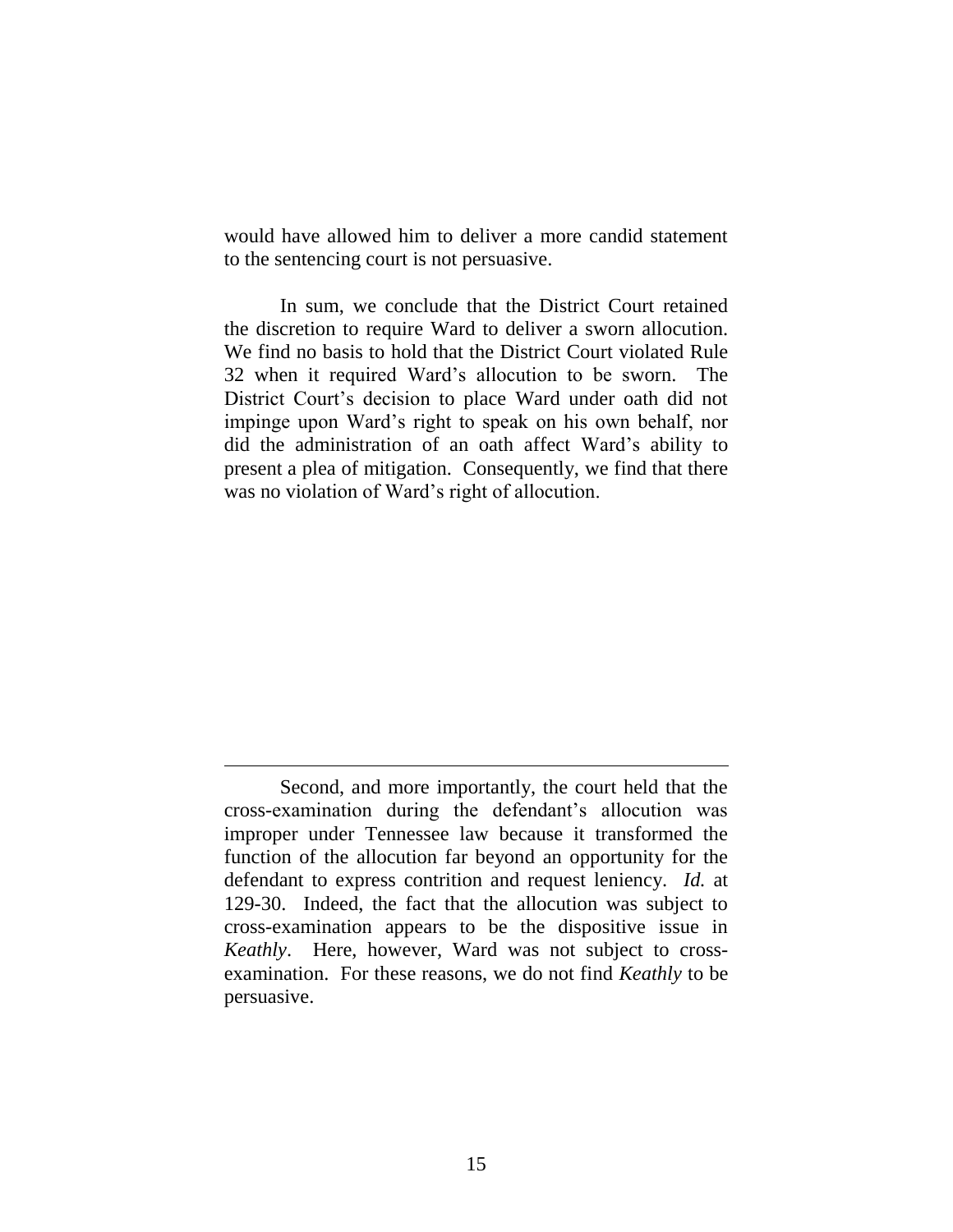would have allowed him to deliver a more candid statement to the sentencing court is not persuasive.

In sum, we conclude that the District Court retained the discretion to require Ward to deliver a sworn allocution. We find no basis to hold that the District Court violated Rule 32 when it required Ward's allocution to be sworn. The District Court's decision to place Ward under oath did not impinge upon Ward's right to speak on his own behalf, nor did the administration of an oath affect Ward's ability to present a plea of mitigation. Consequently, we find that there was no violation of Ward's right of allocution.

 $\overline{a}$ 

Second, and more importantly, the court held that the cross-examination during the defendant's allocution was improper under Tennessee law because it transformed the function of the allocution far beyond an opportunity for the defendant to express contrition and request leniency. *Id.* at 129-30. Indeed, the fact that the allocution was subject to cross-examination appears to be the dispositive issue in *Keathly*. Here, however, Ward was not subject to crossexamination. For these reasons, we do not find *Keathly* to be persuasive.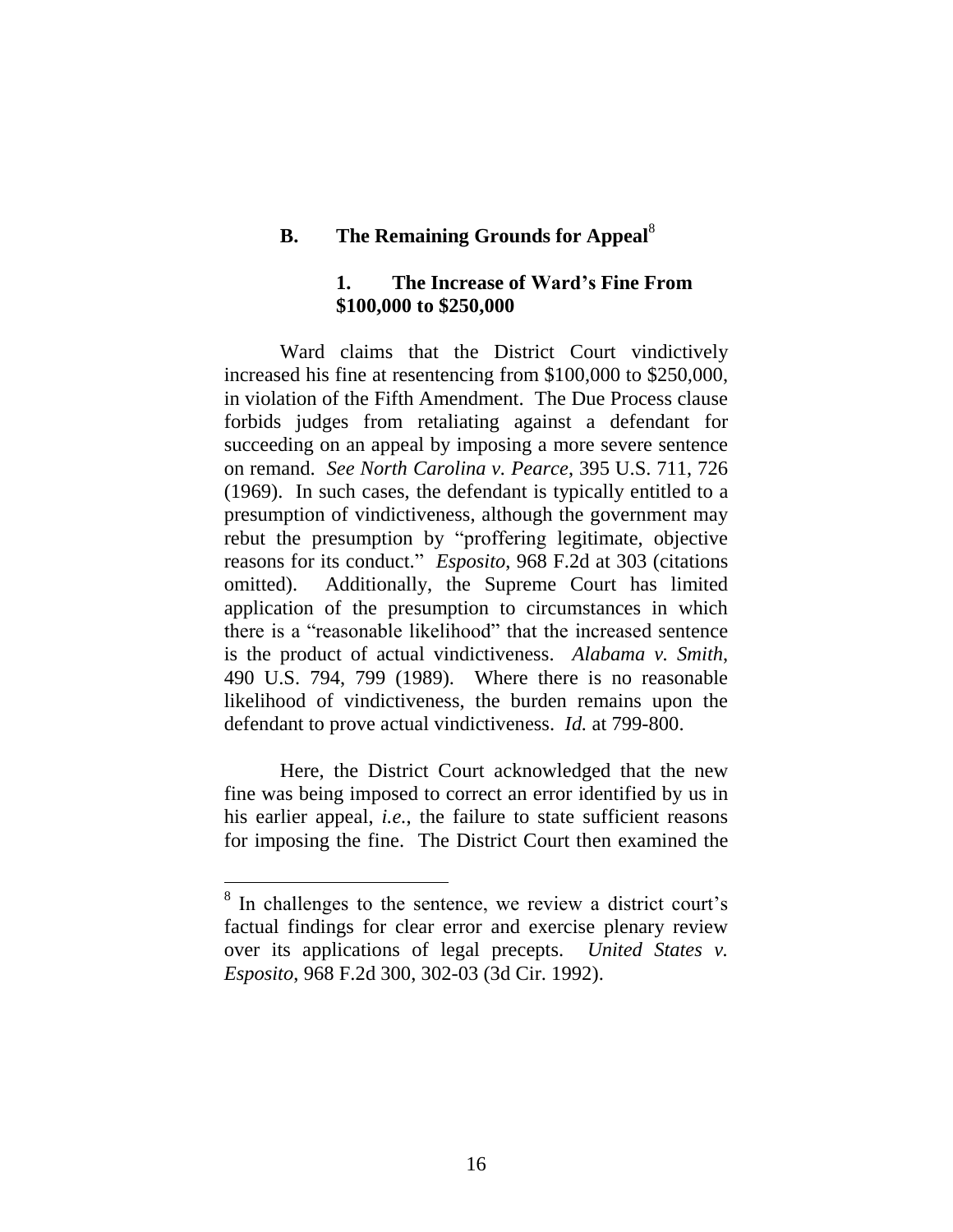## **B. The Remaining Grounds for Appeal**<sup>8</sup>

### **1. The Increase of Ward's Fine From \$100,000 to \$250,000**

Ward claims that the District Court vindictively increased his fine at resentencing from \$100,000 to \$250,000, in violation of the Fifth Amendment. The Due Process clause forbids judges from retaliating against a defendant for succeeding on an appeal by imposing a more severe sentence on remand. *See North Carolina v. Pearce*, 395 U.S. 711, 726 (1969). In such cases, the defendant is typically entitled to a presumption of vindictiveness, although the government may rebut the presumption by "proffering legitimate, objective reasons for its conduct." *Esposito*, 968 F.2d at 303 (citations omitted). Additionally, the Supreme Court has limited application of the presumption to circumstances in which there is a "reasonable likelihood" that the increased sentence is the product of actual vindictiveness. *Alabama v. Smith*, 490 U.S. 794, 799 (1989). Where there is no reasonable likelihood of vindictiveness, the burden remains upon the defendant to prove actual vindictiveness. *Id.* at 799-800.

Here, the District Court acknowledged that the new fine was being imposed to correct an error identified by us in his earlier appeal, *i.e.*, the failure to state sufficient reasons for imposing the fine. The District Court then examined the

<sup>&</sup>lt;sup>8</sup> In challenges to the sentence, we review a district court's factual findings for clear error and exercise plenary review over its applications of legal precepts. *United States v. Esposito*, 968 F.2d 300, 302-03 (3d Cir. 1992).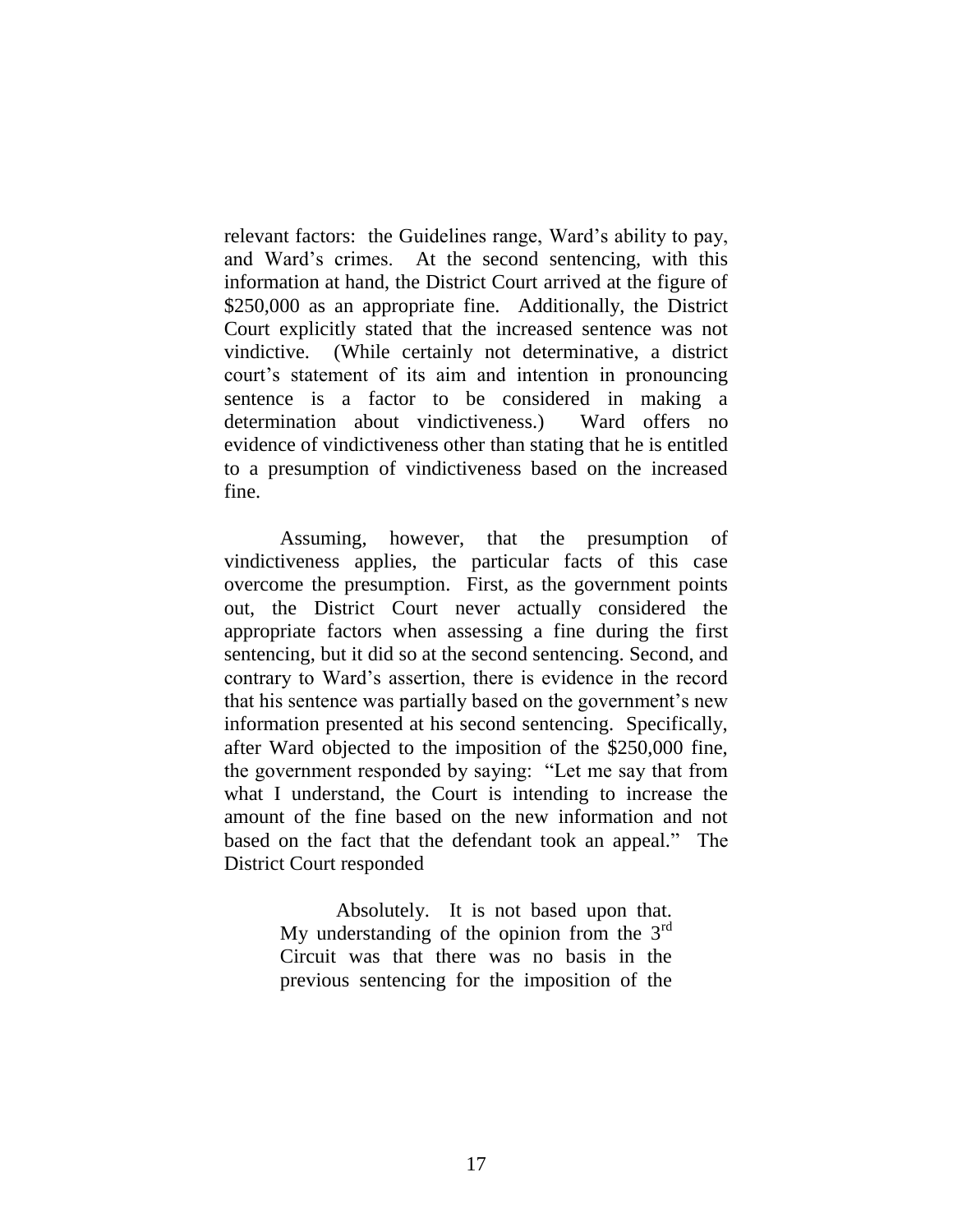relevant factors: the Guidelines range, Ward's ability to pay, and Ward's crimes. At the second sentencing, with this information at hand, the District Court arrived at the figure of \$250,000 as an appropriate fine. Additionally, the District Court explicitly stated that the increased sentence was not vindictive. (While certainly not determinative, a district court's statement of its aim and intention in pronouncing sentence is a factor to be considered in making a determination about vindictiveness.) Ward offers no evidence of vindictiveness other than stating that he is entitled to a presumption of vindictiveness based on the increased fine.

Assuming, however, that the presumption of vindictiveness applies, the particular facts of this case overcome the presumption. First, as the government points out, the District Court never actually considered the appropriate factors when assessing a fine during the first sentencing, but it did so at the second sentencing. Second, and contrary to Ward's assertion, there is evidence in the record that his sentence was partially based on the government's new information presented at his second sentencing. Specifically, after Ward objected to the imposition of the \$250,000 fine, the government responded by saying: "Let me say that from what I understand, the Court is intending to increase the amount of the fine based on the new information and not based on the fact that the defendant took an appeal." The District Court responded

> Absolutely. It is not based upon that. My understanding of the opinion from the  $3<sup>rd</sup>$ Circuit was that there was no basis in the previous sentencing for the imposition of the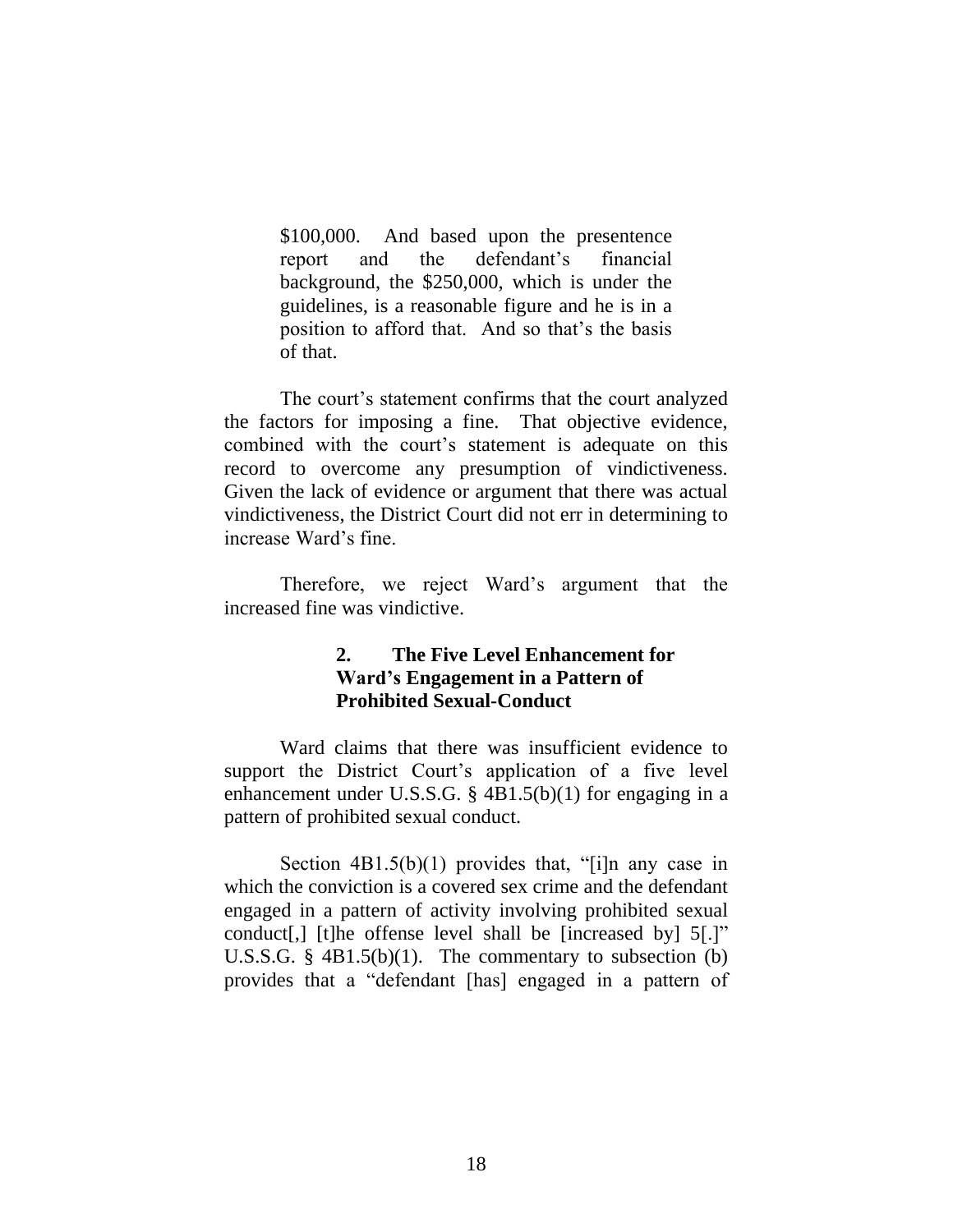\$100,000. And based upon the presentence report and the defendant's financial background, the \$250,000, which is under the guidelines, is a reasonable figure and he is in a position to afford that. And so that's the basis of that.

The court's statement confirms that the court analyzed the factors for imposing a fine. That objective evidence, combined with the court's statement is adequate on this record to overcome any presumption of vindictiveness. Given the lack of evidence or argument that there was actual vindictiveness, the District Court did not err in determining to increase Ward's fine.

Therefore, we reject Ward's argument that the increased fine was vindictive.

## **2. The Five Level Enhancement for Ward's Engagement in a Pattern of Prohibited Sexual-Conduct**

Ward claims that there was insufficient evidence to support the District Court's application of a five level enhancement under U.S.S.G. § 4B1.5(b)(1) for engaging in a pattern of prohibited sexual conduct.

Section  $4B1.5(b)(1)$  provides that, "[i]n any case in which the conviction is a covered sex crime and the defendant engaged in a pattern of activity involving prohibited sexual conduct[,] [t]he offense level shall be [increased by] 5[.]" U.S.S.G. § 4B1.5(b)(1). The commentary to subsection (b) provides that a "defendant [has] engaged in a pattern of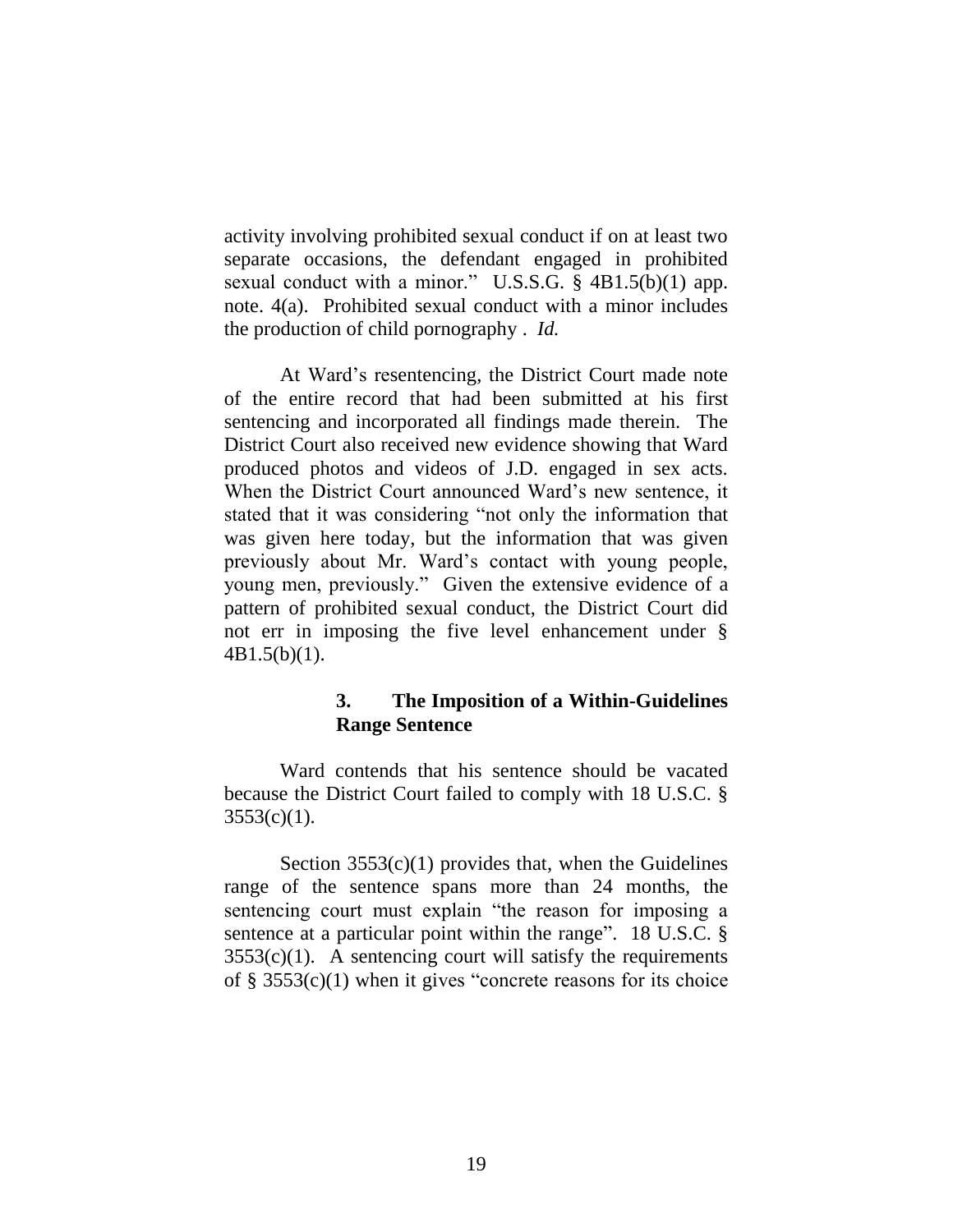activity involving prohibited sexual conduct if on at least two separate occasions, the defendant engaged in prohibited sexual conduct with a minor." U.S.S.G. § 4B1.5(b)(1) app. note. 4(a). Prohibited sexual conduct with a minor includes the production of child pornography . *Id.*

At Ward's resentencing, the District Court made note of the entire record that had been submitted at his first sentencing and incorporated all findings made therein. The District Court also received new evidence showing that Ward produced photos and videos of J.D. engaged in sex acts. When the District Court announced Ward's new sentence, it stated that it was considering "not only the information that was given here today, but the information that was given previously about Mr. Ward's contact with young people, young men, previously." Given the extensive evidence of a pattern of prohibited sexual conduct, the District Court did not err in imposing the five level enhancement under § 4B1.5(b)(1).

### **3. The Imposition of a Within-Guidelines Range Sentence**

Ward contends that his sentence should be vacated because the District Court failed to comply with 18 U.S.C. §  $3553(c)(1)$ .

Section  $3553(c)(1)$  provides that, when the Guidelines range of the sentence spans more than 24 months, the sentencing court must explain "the reason for imposing a sentence at a particular point within the range". 18 U.S.C. §  $3553(c)(1)$ . A sentencing court will satisfy the requirements of § 3553(c)(1) when it gives "concrete reasons for its choice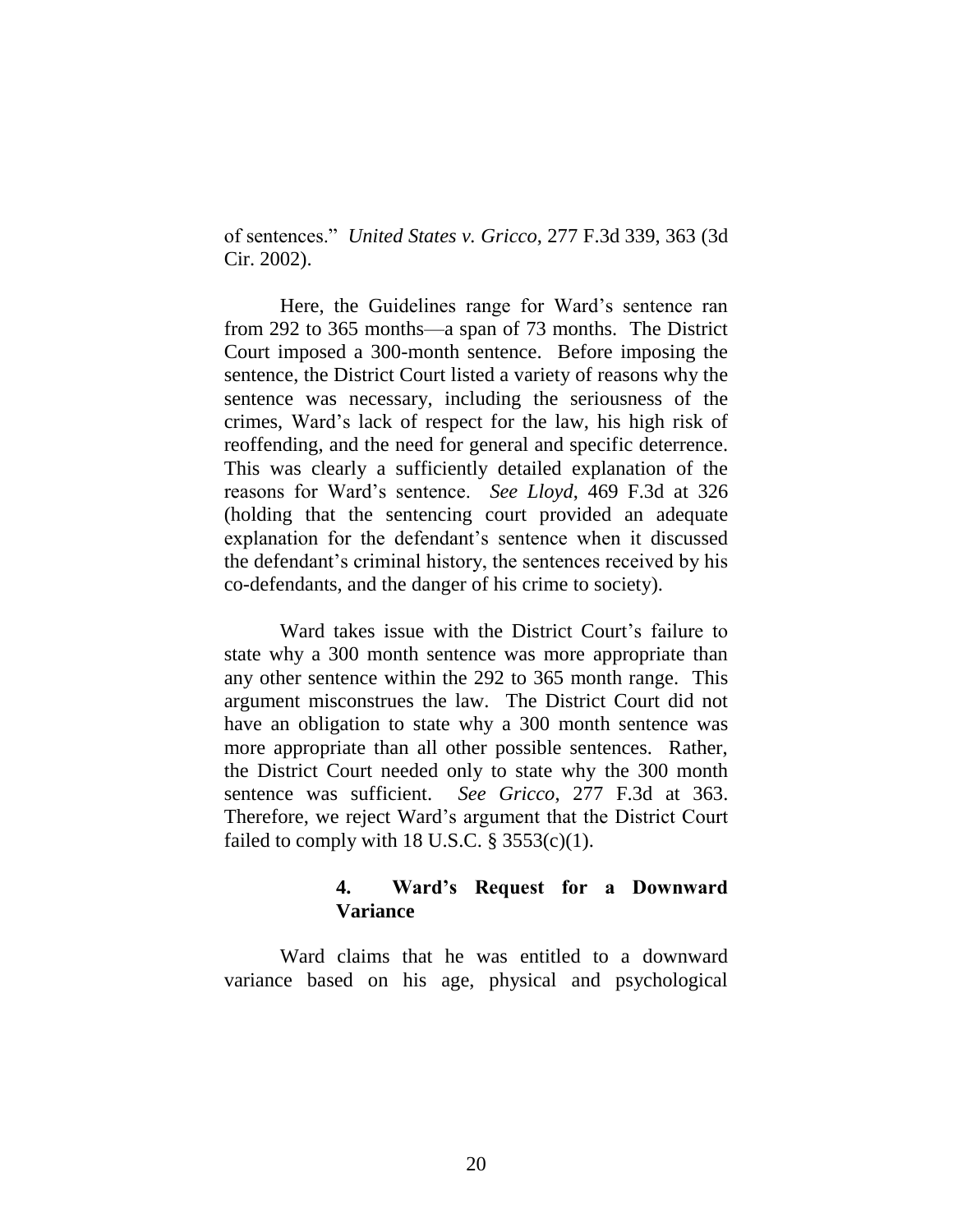of sentences." *United States v. Gricco*, 277 F.3d 339, 363 (3d Cir. 2002).

Here, the Guidelines range for Ward's sentence ran from 292 to 365 months—a span of 73 months. The District Court imposed a 300-month sentence. Before imposing the sentence, the District Court listed a variety of reasons why the sentence was necessary, including the seriousness of the crimes, Ward's lack of respect for the law, his high risk of reoffending, and the need for general and specific deterrence. This was clearly a sufficiently detailed explanation of the reasons for Ward's sentence. *See Lloyd*, 469 F.3d at 326 (holding that the sentencing court provided an adequate explanation for the defendant's sentence when it discussed the defendant's criminal history, the sentences received by his co-defendants, and the danger of his crime to society).

Ward takes issue with the District Court's failure to state why a 300 month sentence was more appropriate than any other sentence within the 292 to 365 month range. This argument misconstrues the law. The District Court did not have an obligation to state why a 300 month sentence was more appropriate than all other possible sentences. Rather, the District Court needed only to state why the 300 month sentence was sufficient. *See Gricco*, 277 F.3d at 363. Therefore, we reject Ward's argument that the District Court failed to comply with 18 U.S.C.  $\S$  3553(c)(1).

### **4. Ward's Request for a Downward Variance**

Ward claims that he was entitled to a downward variance based on his age, physical and psychological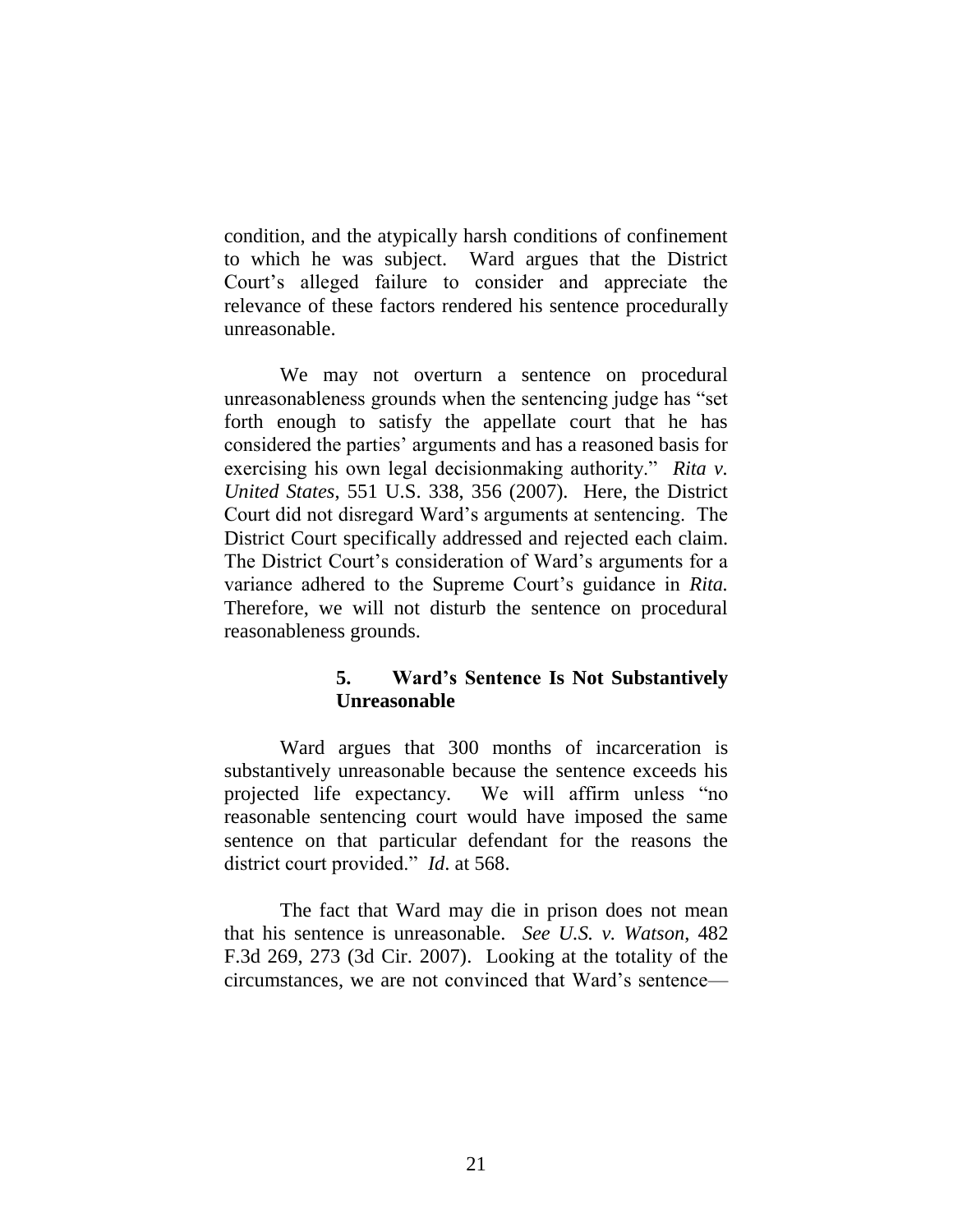condition, and the atypically harsh conditions of confinement to which he was subject. Ward argues that the District Court's alleged failure to consider and appreciate the relevance of these factors rendered his sentence procedurally unreasonable.

We may not overturn a sentence on procedural unreasonableness grounds when the sentencing judge has "set forth enough to satisfy the appellate court that he has considered the parties' arguments and has a reasoned basis for exercising his own legal decisionmaking authority." *Rita v. United States*, 551 U.S. 338, 356 (2007). Here, the District Court did not disregard Ward's arguments at sentencing. The District Court specifically addressed and rejected each claim. The District Court's consideration of Ward's arguments for a variance adhered to the Supreme Court's guidance in *Rita.* Therefore, we will not disturb the sentence on procedural reasonableness grounds.

# **5. Ward's Sentence Is Not Substantively Unreasonable**

Ward argues that 300 months of incarceration is substantively unreasonable because the sentence exceeds his projected life expectancy. We will affirm unless "no reasonable sentencing court would have imposed the same sentence on that particular defendant for the reasons the district court provided." *Id*. at 568.

The fact that Ward may die in prison does not mean that his sentence is unreasonable. *See U.S. v. Watson*, 482 F.3d 269, 273 (3d Cir. 2007). Looking at the totality of the circumstances, we are not convinced that Ward's sentence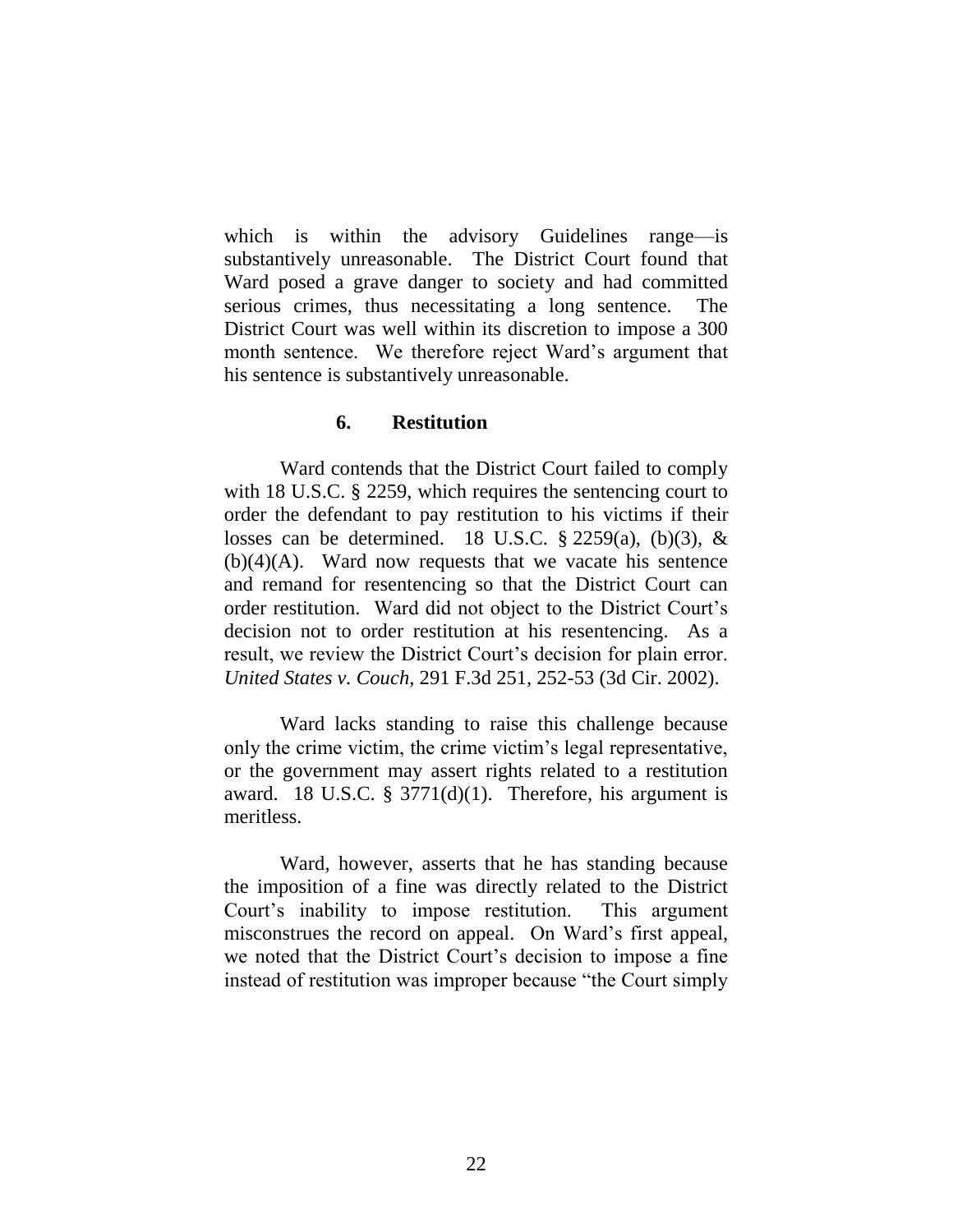which is within the advisory Guidelines range—is substantively unreasonable. The District Court found that Ward posed a grave danger to society and had committed serious crimes, thus necessitating a long sentence. The District Court was well within its discretion to impose a 300 month sentence. We therefore reject Ward's argument that his sentence is substantively unreasonable.

#### **6. Restitution**

Ward contends that the District Court failed to comply with 18 U.S.C. § 2259, which requires the sentencing court to order the defendant to pay restitution to his victims if their losses can be determined. 18 U.S.C.  $\S$  2259(a), (b)(3), &  $(b)(4)(A)$ . Ward now requests that we vacate his sentence and remand for resentencing so that the District Court can order restitution. Ward did not object to the District Court's decision not to order restitution at his resentencing. As a result, we review the District Court's decision for plain error. *United States v. Couch*, 291 F.3d 251, 252-53 (3d Cir. 2002).

Ward lacks standing to raise this challenge because only the crime victim, the crime victim's legal representative, or the government may assert rights related to a restitution award. 18 U.S.C. §  $3771(d)(1)$ . Therefore, his argument is meritless.

Ward, however, asserts that he has standing because the imposition of a fine was directly related to the District Court's inability to impose restitution. This argument misconstrues the record on appeal. On Ward's first appeal, we noted that the District Court's decision to impose a fine instead of restitution was improper because "the Court simply